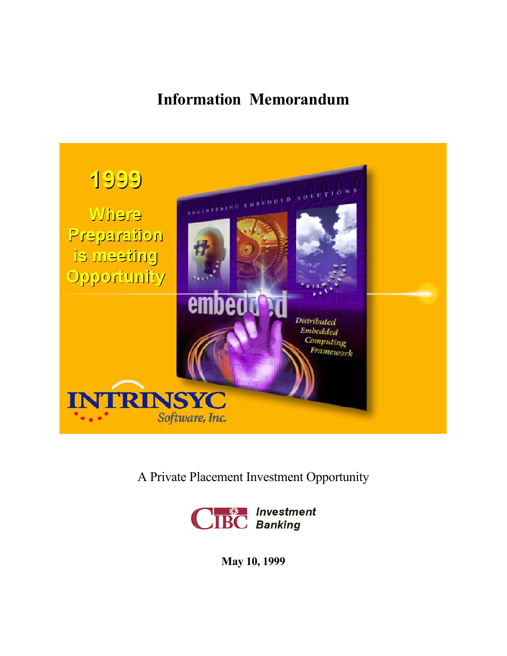# **Information Memorandum**



A Private Placement Investment Opportunity



**May 10, 1999**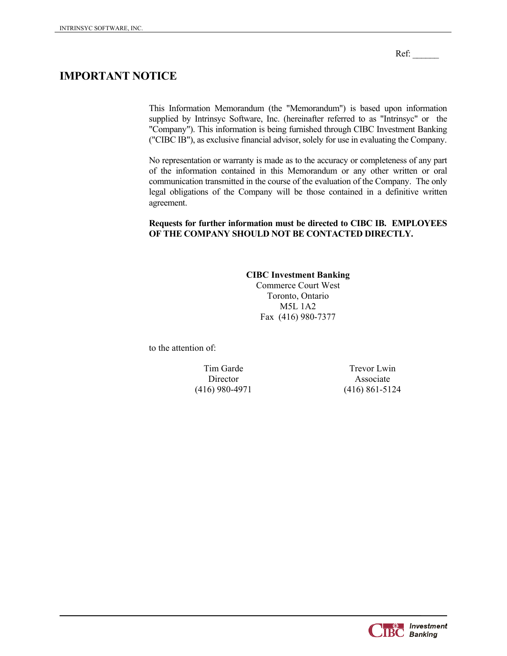Ref:

## **IMPORTANT NOTICE**

This Information Memorandum (the "Memorandum") is based upon information supplied by Intrinsyc Software, Inc. (hereinafter referred to as "Intrinsyc" or the "Company"). This information is being furnished through CIBC Investment Banking ("CIBC IB"), as exclusive financial advisor, solely for use in evaluating the Company.

No representation or warranty is made as to the accuracy or completeness of any part of the information contained in this Memorandum or any other written or oral communication transmitted in the course of the evaluation of the Company. The only legal obligations of the Company will be those contained in a definitive written agreement.

#### **Requests for further information must be directed to CIBC IB. EMPLOYEES OF THE COMPANY SHOULD NOT BE CONTACTED DIRECTLY.**

#### **CIBC Investment Banking**  Commerce Court West Toronto, Ontario M5L 1A2 Fax (416) 980-7377

to the attention of:

(416) 980-4971 (416) 861-5124

Tim Garde Trevor Lwin Director Associate

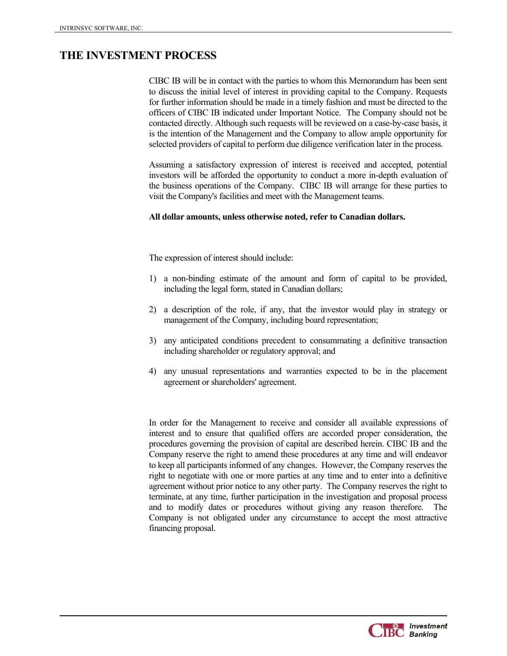## **THE INVESTMENT PROCESS**

CIBC IB will be in contact with the parties to whom this Memorandum has been sent to discuss the initial level of interest in providing capital to the Company. Requests for further information should be made in a timely fashion and must be directed to the officers of CIBC IB indicated under Important Notice. The Company should not be contacted directly. Although such requests will be reviewed on a case-by-case basis, it is the intention of the Management and the Company to allow ample opportunity for selected providers of capital to perform due diligence verification later in the process.

Assuming a satisfactory expression of interest is received and accepted, potential investors will be afforded the opportunity to conduct a more in-depth evaluation of the business operations of the Company. CIBC IB will arrange for these parties to visit the Company's facilities and meet with the Management teams.

#### **All dollar amounts, unless otherwise noted, refer to Canadian dollars.**

The expression of interest should include:

- 1) a non-binding estimate of the amount and form of capital to be provided, including the legal form, stated in Canadian dollars;
- 2) a description of the role, if any, that the investor would play in strategy or management of the Company, including board representation;
- 3) any anticipated conditions precedent to consummating a definitive transaction including shareholder or regulatory approval; and
- 4) any unusual representations and warranties expected to be in the placement agreement or shareholders' agreement.

In order for the Management to receive and consider all available expressions of interest and to ensure that qualified offers are accorded proper consideration, the procedures governing the provision of capital are described herein. CIBC IB and the Company reserve the right to amend these procedures at any time and will endeavor to keep all participants informed of any changes. However, the Company reserves the right to negotiate with one or more parties at any time and to enter into a definitive agreement without prior notice to any other party. The Company reserves the right to terminate, at any time, further participation in the investigation and proposal process and to modify dates or procedures without giving any reason therefore. The Company is not obligated under any circumstance to accept the most attractive financing proposal.

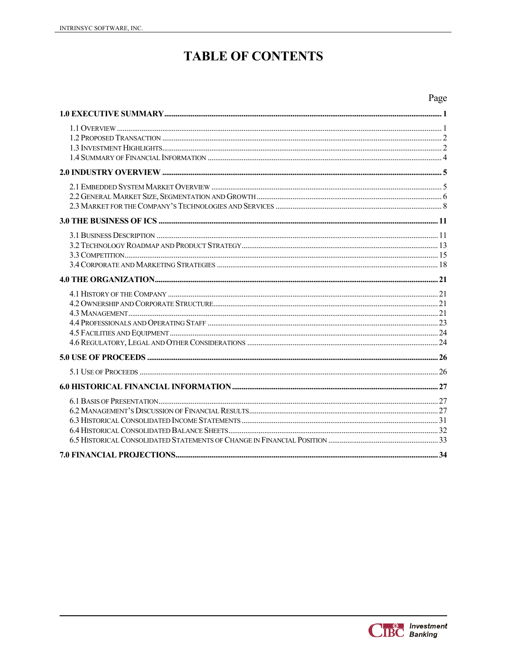## **TABLE OF CONTENTS**

## Page

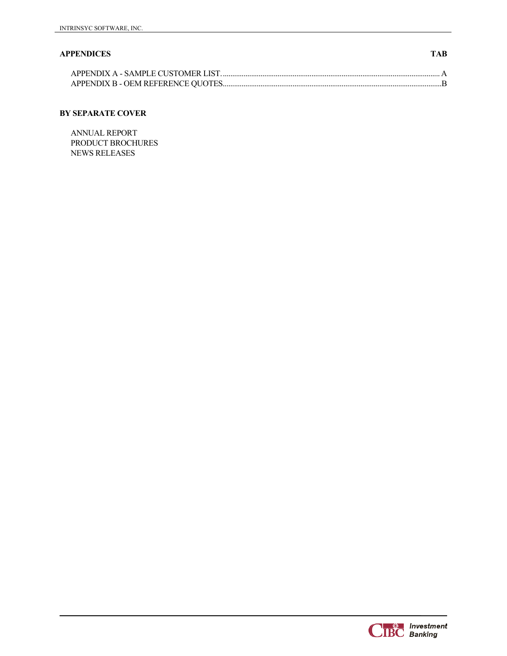#### **APPENDICES TAB**

#### **BY SEPARATE COVER**

ANNUAL REPORT PRODUCT BROCHURES NEWS RELEASES

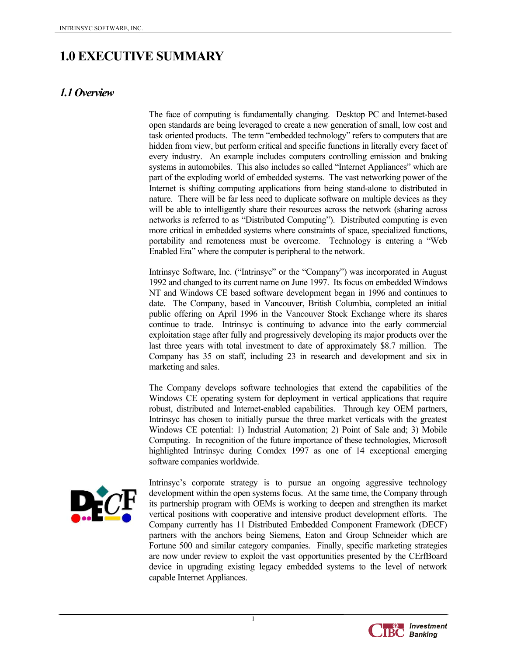## **1.0 EXECUTIVE SUMMARY**

## *1.1 Overview*

The face of computing is fundamentally changing. Desktop PC and Internet-based open standards are being leveraged to create a new generation of small, low cost and task oriented products. The term "embedded technology" refers to computers that are hidden from view, but perform critical and specific functions in literally every facet of every industry. An example includes computers controlling emission and braking systems in automobiles. This also includes so called "Internet Appliances" which are part of the exploding world of embedded systems. The vast networking power of the Internet is shifting computing applications from being stand-alone to distributed in nature. There will be far less need to duplicate software on multiple devices as they will be able to intelligently share their resources across the network (sharing across networks is referred to as "Distributed Computing"). Distributed computing is even more critical in embedded systems where constraints of space, specialized functions, portability and remoteness must be overcome. Technology is entering a "Web Enabled Era" where the computer is peripheral to the network.

Intrinsyc Software, Inc. ("Intrinsyc" or the "Company") was incorporated in August 1992 and changed to its current name on June 1997. Its focus on embedded Windows NT and Windows CE based software development began in 1996 and continues to date. The Company, based in Vancouver, British Columbia, completed an initial public offering on April 1996 in the Vancouver Stock Exchange where its shares continue to trade. Intrinsyc is continuing to advance into the early commercial exploitation stage after fully and progressively developing its major products over the last three years with total investment to date of approximately \$8.7 million. The Company has 35 on staff, including 23 in research and development and six in marketing and sales.

The Company develops software technologies that extend the capabilities of the Windows CE operating system for deployment in vertical applications that require robust, distributed and Internet-enabled capabilities. Through key OEM partners, Intrinsyc has chosen to initially pursue the three market verticals with the greatest Windows CE potential: 1) Industrial Automation; 2) Point of Sale and; 3) Mobile Computing. In recognition of the future importance of these technologies, Microsoft highlighted Intrinsyc during Comdex 1997 as one of 14 exceptional emerging software companies worldwide.



Intrinsyc's corporate strategy is to pursue an ongoing aggressive technology development within the open systems focus. At the same time, the Company through its partnership program with OEMs is working to deepen and strengthen its market vertical positions with cooperative and intensive product development efforts. The Company currently has 11 Distributed Embedded Component Framework (DECF) partners with the anchors being Siemens, Eaton and Group Schneider which are Fortune 500 and similar category companies. Finally, specific marketing strategies are now under review to exploit the vast opportunities presented by the CErfBoard device in upgrading existing legacy embedded systems to the level of network capable Internet Appliances.

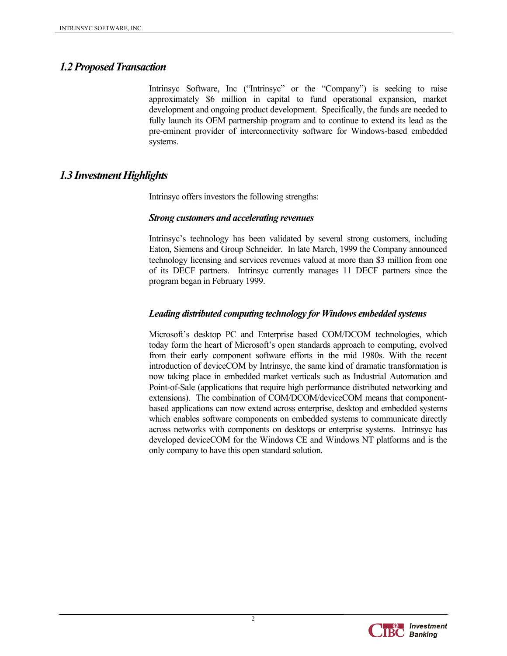## *1.2 Proposed Transaction*

Intrinsyc Software, Inc ("Intrinsyc" or the "Company") is seeking to raise approximately \$6 million in capital to fund operational expansion, market development and ongoing product development. Specifically, the funds are needed to fully launch its OEM partnership program and to continue to extend its lead as the pre-eminent provider of interconnectivity software for Windows-based embedded systems.

## *1.3 Investment Highlights*

Intrinsyc offers investors the following strengths:

#### *Strong customers and accelerating revenues*

Intrinsyc's technology has been validated by several strong customers, including Eaton, Siemens and Group Schneider. In late March, 1999 the Company announced technology licensing and services revenues valued at more than \$3 million from one of its DECF partners. Intrinsyc currently manages 11 DECF partners since the program began in February 1999.

#### *Leading distributed computing technology for Windows embedded systems*

Microsoft's desktop PC and Enterprise based COM/DCOM technologies, which today form the heart of Microsoft's open standards approach to computing, evolved from their early component software efforts in the mid 1980s. With the recent introduction of deviceCOM by Intrinsyc, the same kind of dramatic transformation is now taking place in embedded market verticals such as Industrial Automation and Point-of-Sale (applications that require high performance distributed networking and extensions). The combination of COM/DCOM/deviceCOM means that componentbased applications can now extend across enterprise, desktop and embedded systems which enables software components on embedded systems to communicate directly across networks with components on desktops or enterprise systems. Intrinsyc has developed deviceCOM for the Windows CE and Windows NT platforms and is the only company to have this open standard solution.

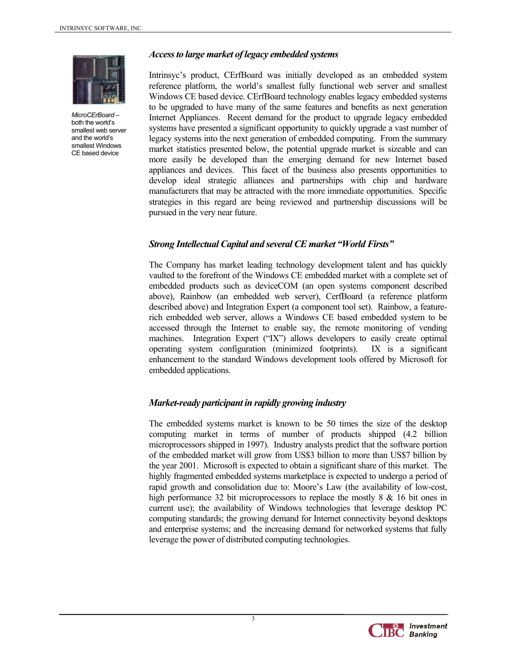

*MicroCErBoard* – both the world's smallest web server and the world's smallest Windows CE based device

#### *Access to large market of legacy embedded systems*

Intrinsyc's product, CErfBoard was initially developed as an embedded system reference platform, the world's smallest fully functional web server and smallest Windows CE based device. CErfBoard technology enables legacy embedded systems to be upgraded to have many of the same features and benefits as next generation Internet Appliances. Recent demand for the product to upgrade legacy embedded systems have presented a significant opportunity to quickly upgrade a vast number of legacy systems into the next generation of embedded computing. From the summary market statistics presented below, the potential upgrade market is sizeable and can more easily be developed than the emerging demand for new Internet based appliances and devices. This facet of the business also presents opportunities to develop ideal strategic alliances and partnerships with chip and hardware manufacturers that may be attracted with the more immediate opportunities. Specific strategies in this regard are being reviewed and partnership discussions will be pursued in the very near future.

#### *Strong Intellectual Capital and several CE market "World Firsts"*

The Company has market leading technology development talent and has quickly vaulted to the forefront of the Windows CE embedded market with a complete set of embedded products such as deviceCOM (an open systems component described above), Rainbow (an embedded web server), CerfBoard (a reference platform described above) and Integration Expert (a component tool set). Rainbow, a featurerich embedded web server, allows a Windows CE based embedded system to be accessed through the Internet to enable say, the remote monitoring of vending machines. Integration Expert ("IX") allows developers to easily create optimal operating system configuration (minimized footprints). IX is a significant enhancement to the standard Windows development tools offered by Microsoft for embedded applications.

#### *Market-ready participant in rapidly growing industry*

The embedded systems market is known to be 50 times the size of the desktop computing market in terms of number of products shipped (4.2 billion microprocessors shipped in 1997). Industry analysts predict that the software portion of the embedded market will grow from US\$3 billion to more than US\$7 billion by the year 2001. Microsoft is expected to obtain a significant share of this market. The highly fragmented embedded systems marketplace is expected to undergo a period of rapid growth and consolidation due to: Moore's Law (the availability of low-cost, high performance 32 bit microprocessors to replace the mostly 8 & 16 bit ones in current use); the availability of Windows technologies that leverage desktop PC computing standards; the growing demand for Internet connectivity beyond desktops and enterprise systems; and the increasing demand for networked systems that fully leverage the power of distributed computing technologies.

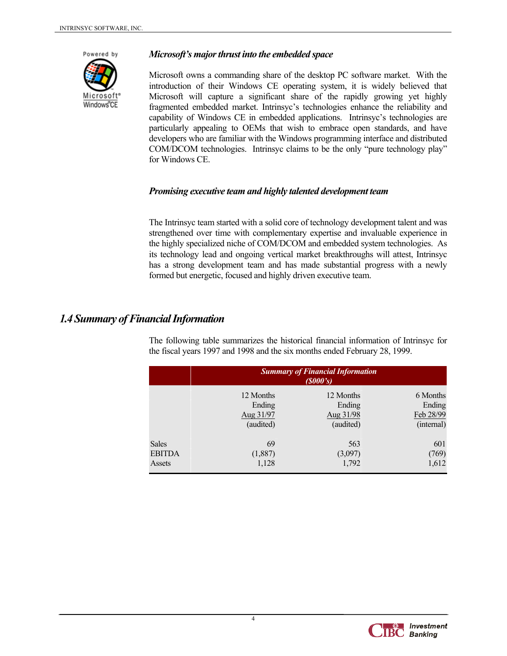

#### *Microsoft's major thrust into the embedded space*

Microsoft owns a commanding share of the desktop PC software market. With the introduction of their Windows CE operating system, it is widely believed that Microsoft will capture a significant share of the rapidly growing yet highly fragmented embedded market. Intrinsyc's technologies enhance the reliability and capability of Windows CE in embedded applications. Intrinsyc's technologies are particularly appealing to OEMs that wish to embrace open standards, and have developers who are familiar with the Windows programming interface and distributed COM/DCOM technologies. Intrinsyc claims to be the only "pure technology play" for Windows CE.

#### *Promising executive team and highly talented development team*

The Intrinsyc team started with a solid core of technology development talent and was strengthened over time with complementary expertise and invaluable experience in the highly specialized niche of COM/DCOM and embedded system technologies. As its technology lead and ongoing vertical market breakthroughs will attest, Intrinsyc has a strong development team and has made substantial progress with a newly formed but energetic, focused and highly driven executive team.

## *1.4 Summary of Financial Information*

| the fiscal years $1997$ and $1998$ and the six months ended reducally 28, $1999$ . |                                                     |           |            |  |
|------------------------------------------------------------------------------------|-----------------------------------------------------|-----------|------------|--|
|                                                                                    | <b>Summary of Financial Information</b><br>(S000's) |           |            |  |
|                                                                                    | 12 Months                                           | 12 Months | 6 Months   |  |
|                                                                                    | Ending                                              | Ending    | Ending     |  |
|                                                                                    | Aug 31/97                                           | Aug 31/98 | Feb 28/99  |  |
| <b>Sales</b>                                                                       | (audited)                                           | (audited) | (internal) |  |
|                                                                                    | 69                                                  | 563       | 601        |  |
| <b>EBITDA</b>                                                                      | (1,887)                                             | (3,097)   | (769)      |  |
|                                                                                    | 1,128                                               | 1,792     | 1,612      |  |
| Assets                                                                             |                                                     |           |            |  |

The following table summarizes the historical financial information of Intrinsyc for the fiscal years 1997 and 1998 and the six months ended February 28, 1999.

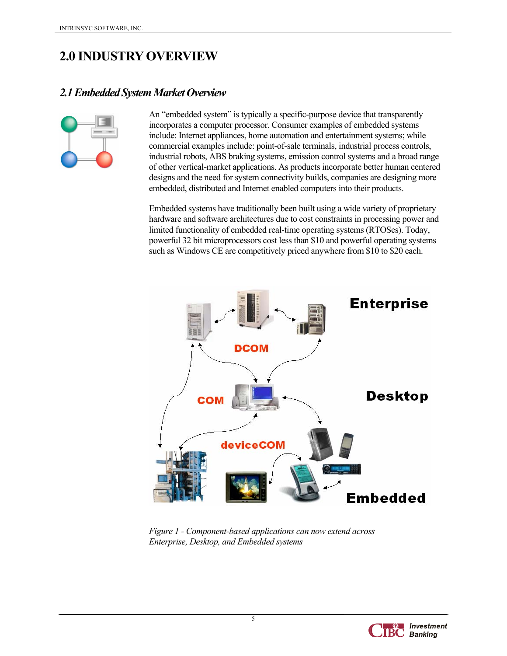## **2.0 INDUSTRY OVERVIEW**

## *2.1 Embedded System Market Overview*



An "embedded system" is typically a specific-purpose device that transparently incorporates a computer processor. Consumer examples of embedded systems include: Internet appliances, home automation and entertainment systems; while commercial examples include: point-of-sale terminals, industrial process controls, industrial robots, ABS braking systems, emission control systems and a broad range of other vertical-market applications. As products incorporate better human centered designs and the need for system connectivity builds, companies are designing more embedded, distributed and Internet enabled computers into their products.

Embedded systems have traditionally been built using a wide variety of proprietary hardware and software architectures due to cost constraints in processing power and limited functionality of embedded real-time operating systems (RTOSes). Today, powerful 32 bit microprocessors cost less than \$10 and powerful operating systems such as Windows CE are competitively priced anywhere from \$10 to \$20 each.



*Figure 1 - Component-based applications can now extend across Enterprise, Desktop, and Embedded systems* 

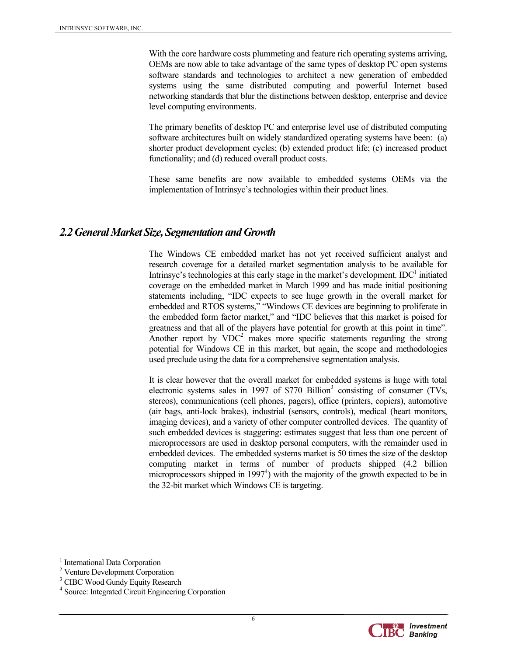With the core hardware costs plummeting and feature rich operating systems arriving. OEMs are now able to take advantage of the same types of desktop PC open systems software standards and technologies to architect a new generation of embedded systems using the same distributed computing and powerful Internet based networking standards that blur the distinctions between desktop, enterprise and device level computing environments.

The primary benefits of desktop PC and enterprise level use of distributed computing software architectures built on widely standardized operating systems have been: (a) shorter product development cycles; (b) extended product life; (c) increased product functionality; and (d) reduced overall product costs.

These same benefits are now available to embedded systems OEMs via the implementation of Intrinsyc's technologies within their product lines.

## *2.2 General Market Size, Segmentation and Growth*

The Windows CE embedded market has not yet received sufficient analyst and research coverage for a detailed market segmentation analysis to be available for Intrinsyc's technologies at this early stage in the market's development.  $IDC<sup>1</sup>$  initiated coverage on the embedded market in March 1999 and has made initial positioning statements including, "IDC expects to see huge growth in the overall market for embedded and RTOS systems," "Windows CE devices are beginning to proliferate in the embedded form factor market," and "IDC believes that this market is poised for greatness and that all of the players have potential for growth at this point in time". Another report by  $VDC^2$  makes more specific statements regarding the strong potential for Windows CE in this market, but again, the scope and methodologies used preclude using the data for a comprehensive segmentation analysis.

It is clear however that the overall market for embedded systems is huge with total electronic systems sales in 1997 of  $$770$  Billion<sup>3</sup> consisting of consumer (TVs, stereos), communications (cell phones, pagers), office (printers, copiers), automotive (air bags, anti-lock brakes), industrial (sensors, controls), medical (heart monitors, imaging devices), and a variety of other computer controlled devices. The quantity of such embedded devices is staggering: estimates suggest that less than one percent of microprocessors are used in desktop personal computers, with the remainder used in embedded devices. The embedded systems market is 50 times the size of the desktop computing market in terms of number of products shipped (4.2 billion microprocessors shipped in  $1997<sup>4</sup>$ ) with the majority of the growth expected to be in the 32-bit market which Windows CE is targeting.

 $\overline{a}$ 



<sup>&</sup>lt;sup>1</sup> International Data Corporation

<sup>2</sup> Venture Development Corporation

<sup>&</sup>lt;sup>3</sup> CIBC Wood Gundy Equity Research

<sup>4</sup> Source: Integrated Circuit Engineering Corporation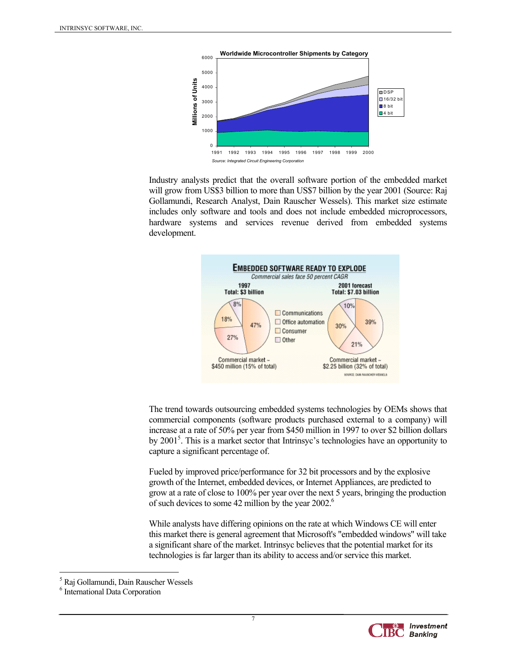

Industry analysts predict that the overall software portion of the embedded market will grow from US\$3 billion to more than US\$7 billion by the year 2001 (Source: Raj Gollamundi, Research Analyst, Dain Rauscher Wessels). This market size estimate includes only software and tools and does not include embedded microprocessors, hardware systems and services revenue derived from embedded systems development.



The trend towards outsourcing embedded systems technologies by OEMs shows that commercial components (software products purchased external to a company) will increase at a rate of 50% per year from \$450 million in 1997 to over \$2 billion dollars by 2001<sup>5</sup>. This is a market sector that Intrinsyc's technologies have an opportunity to capture a significant percentage of.

Fueled by improved price/performance for 32 bit processors and by the explosive growth of the Internet, embedded devices, or Internet Appliances, are predicted to grow at a rate of close to 100% per year over the next 5 years, bringing the production of such devices to some 42 million by the year 2002.<sup>6</sup>

While analysts have differing opinions on the rate at which Windows CE will enter this market there is general agreement that Microsoft's "embedded windows" will take a significant share of the market. Intrinsyc believes that the potential market for its technologies is far larger than its ability to access and/or service this market.

 $\overline{a}$ 



<sup>5</sup> Raj Gollamundi, Dain Rauscher Wessels

<sup>6</sup> International Data Corporation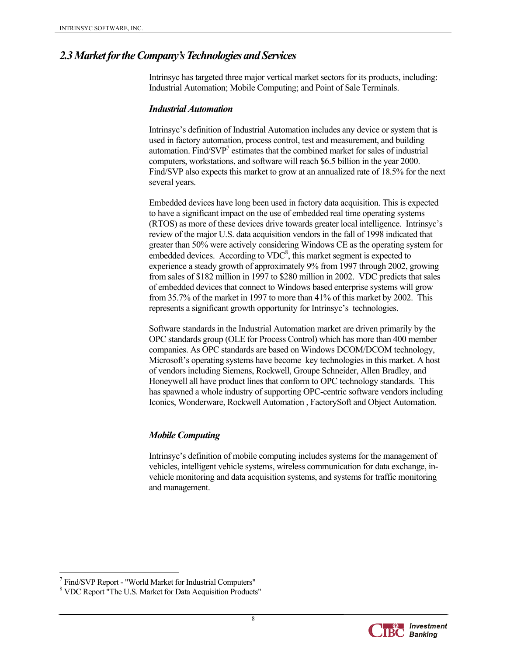## *2.3 Market for the Company's Technologies and Services*

Intrinsyc has targeted three major vertical market sectors for its products, including: Industrial Automation; Mobile Computing; and Point of Sale Terminals.

#### *Industrial Automation*

Intrinsyc's definition of Industrial Automation includes any device or system that is used in factory automation, process control, test and measurement, and building automation. Find/SVP<sup>7</sup> estimates that the combined market for sales of industrial computers, workstations, and software will reach \$6.5 billion in the year 2000. Find/SVP also expects this market to grow at an annualized rate of 18.5% for the next several years.

Embedded devices have long been used in factory data acquisition. This is expected to have a significant impact on the use of embedded real time operating systems (RTOS) as more of these devices drive towards greater local intelligence. Intrinsyc's review of the major U.S. data acquisition vendors in the fall of 1998 indicated that greater than 50% were actively considering Windows CE as the operating system for embedded devices. According to  $VDC<sup>8</sup>$ , this market segment is expected to experience a steady growth of approximately 9% from 1997 through 2002, growing from sales of \$182 million in 1997 to \$280 million in 2002. VDC predicts that sales of embedded devices that connect to Windows based enterprise systems will grow from 35.7% of the market in 1997 to more than 41% of this market by 2002. This represents a significant growth opportunity for Intrinsyc's technologies.

Software standards in the Industrial Automation market are driven primarily by the OPC standards group (OLE for Process Control) which has more than 400 member companies. As OPC standards are based on Windows DCOM/DCOM technology, Microsoft's operating systems have become key technologies in this market. A host of vendors including Siemens, Rockwell, Groupe Schneider, Allen Bradley, and Honeywell all have product lines that conform to OPC technology standards. This has spawned a whole industry of supporting OPC-centric software vendors including Iconics, Wonderware, Rockwell Automation , FactorySoft and Object Automation.

#### *Mobile Computing*

Intrinsyc's definition of mobile computing includes systems for the management of vehicles, intelligent vehicle systems, wireless communication for data exchange, invehicle monitoring and data acquisition systems, and systems for traffic monitoring and management.



 $\overline{a}$ 7 Find/SVP Report - "World Market for Industrial Computers"

<sup>&</sup>lt;sup>8</sup> VDC Report "The U.S. Market for Data Acquisition Products"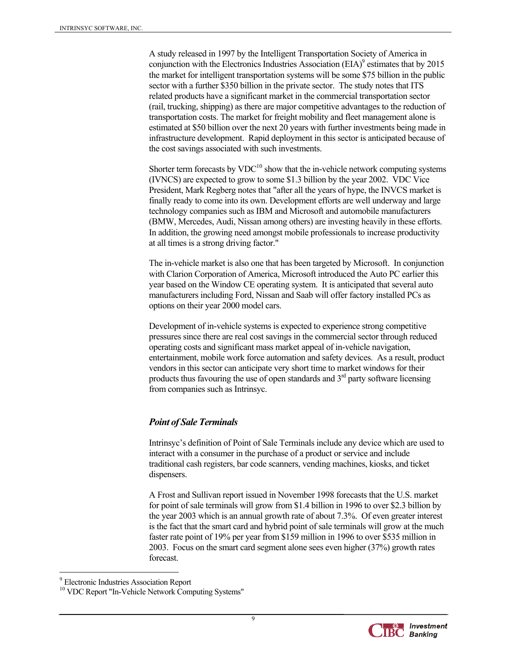A study released in 1997 by the Intelligent Transportation Society of America in conjunction with the Electronics Industries Association (EIA) $^9$  estimates that by 2015 the market for intelligent transportation systems will be some \$75 billion in the public sector with a further \$350 billion in the private sector. The study notes that ITS related products have a significant market in the commercial transportation sector (rail, trucking, shipping) as there are major competitive advantages to the reduction of transportation costs. The market for freight mobility and fleet management alone is estimated at \$50 billion over the next 20 years with further investments being made in infrastructure development. Rapid deployment in this sector is anticipated because of the cost savings associated with such investments.

Shorter term forecasts by  $VDC^{10}$  show that the in-vehicle network computing systems (IVNCS) are expected to grow to some \$1.3 billion by the year 2002. VDC Vice President, Mark Regberg notes that "after all the years of hype, the INVCS market is finally ready to come into its own. Development efforts are well underway and large technology companies such as IBM and Microsoft and automobile manufacturers (BMW, Mercedes, Audi, Nissan among others) are investing heavily in these efforts. In addition, the growing need amongst mobile professionals to increase productivity at all times is a strong driving factor."

The in-vehicle market is also one that has been targeted by Microsoft. In conjunction with Clarion Corporation of America, Microsoft introduced the Auto PC earlier this year based on the Window CE operating system. It is anticipated that several auto manufacturers including Ford, Nissan and Saab will offer factory installed PCs as options on their year 2000 model cars.

Development of in-vehicle systems is expected to experience strong competitive pressures since there are real cost savings in the commercial sector through reduced operating costs and significant mass market appeal of in-vehicle navigation, entertainment, mobile work force automation and safety devices. As a result, product vendors in this sector can anticipate very short time to market windows for their products thus favouring the use of open standards and  $3<sup>rd</sup>$  party software licensing from companies such as Intrinsyc.

#### *Point of Sale Terminals*

Intrinsyc's definition of Point of Sale Terminals include any device which are used to interact with a consumer in the purchase of a product or service and include traditional cash registers, bar code scanners, vending machines, kiosks, and ticket dispensers.

A Frost and Sullivan report issued in November 1998 forecasts that the U.S. market for point of sale terminals will grow from \$1.4 billion in 1996 to over \$2.3 billion by the year 2003 which is an annual growth rate of about 7.3%. Of even greater interest is the fact that the smart card and hybrid point of sale terminals will grow at the much faster rate point of 19% per year from \$159 million in 1996 to over \$535 million in 2003. Focus on the smart card segment alone sees even higher (37%) growth rates forecast.

 $\overline{a}$ 



<sup>9</sup> Electronic Industries Association Report

<sup>&</sup>lt;sup>10</sup> VDC Report "In-Vehicle Network Computing Systems"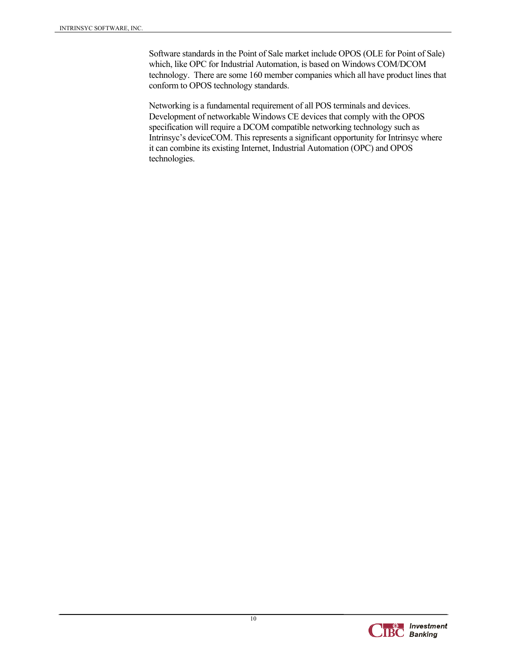Software standards in the Point of Sale market include OPOS (OLE for Point of Sale) which, like OPC for Industrial Automation, is based on Windows COM/DCOM technology. There are some 160 member companies which all have product lines that conform to OPOS technology standards.

Networking is a fundamental requirement of all POS terminals and devices. Development of networkable Windows CE devices that comply with the OPOS specification will require a DCOM compatible networking technology such as Intrinsyc's deviceCOM. This represents a significant opportunity for Intrinsyc where it can combine its existing Internet, Industrial Automation (OPC) and OPOS technologies.

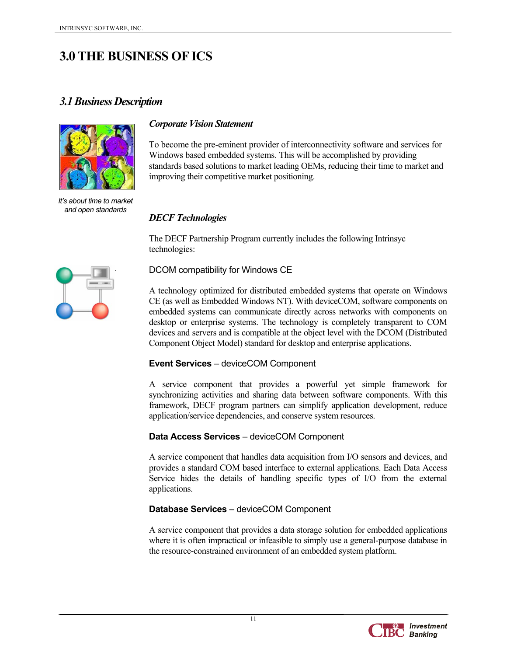## **3.0 THE BUSINESS OF ICS**

## *3.1 Business Description*



*It's about time to market and open standards*

#### *Corporate Vision Statement*

To become the pre-eminent provider of interconnectivity software and services for Windows based embedded systems. This will be accomplished by providing standards based solutions to market leading OEMs, reducing their time to market and improving their competitive market positioning.

#### *DECF Technologies*

The DECF Partnership Program currently includes the following Intrinsyc technologies:



#### DCOM compatibility for Windows CE

A technology optimized for distributed embedded systems that operate on Windows CE (as well as Embedded Windows NT). With deviceCOM, software components on embedded systems can communicate directly across networks with components on desktop or enterprise systems. The technology is completely transparent to COM devices and servers and is compatible at the object level with the DCOM (Distributed Component Object Model) standard for desktop and enterprise applications.

#### **Event Services** – deviceCOM Component

A service component that provides a powerful yet simple framework for synchronizing activities and sharing data between software components. With this framework, DECF program partners can simplify application development, reduce application/service dependencies, and conserve system resources.

#### **Data Access Services** – deviceCOM Component

A service component that handles data acquisition from I/O sensors and devices, and provides a standard COM based interface to external applications. Each Data Access Service hides the details of handling specific types of I/O from the external applications.

#### **Database Services** – deviceCOM Component

A service component that provides a data storage solution for embedded applications where it is often impractical or infeasible to simply use a general-purpose database in the resource-constrained environment of an embedded system platform.

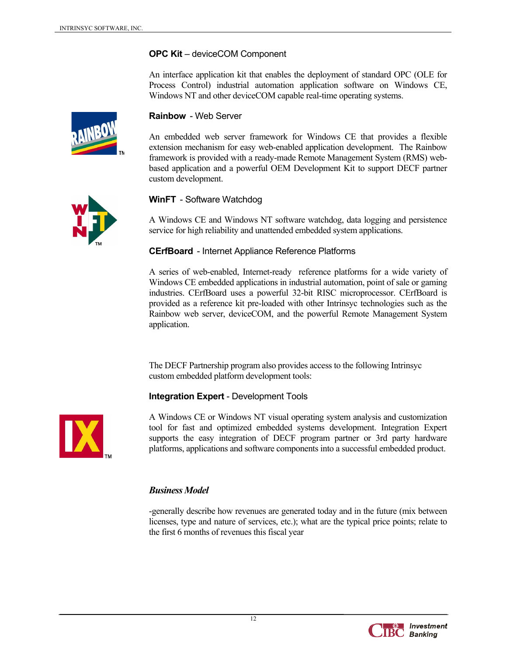#### **OPC Kit** – deviceCOM Component

An interface application kit that enables the deployment of standard OPC (OLE for Process Control) industrial automation application software on Windows CE, Windows NT and other deviceCOM capable real-time operating systems.



#### **Rainbow** - Web Server

An embedded web server framework for Windows CE that provides a flexible extension mechanism for easy web-enabled application development. The Rainbow framework is provided with a ready-made Remote Management System (RMS) webbased application and a powerful OEM Development Kit to support DECF partner custom development.



#### **WinFT** - Software Watchdog

A Windows CE and Windows NT software watchdog, data logging and persistence service for high reliability and unattended embedded system applications.

#### **CErfBoard** - Internet Appliance Reference Platforms

A series of web-enabled, Internet-ready reference platforms for a wide variety of Windows CE embedded applications in industrial automation, point of sale or gaming industries. CErfBoard uses a powerful 32-bit RISC microprocessor. CErfBoard is provided as a reference kit pre-loaded with other Intrinsyc technologies such as the Rainbow web server, deviceCOM, and the powerful Remote Management System application.

The DECF Partnership program also provides access to the following Intrinsyc custom embedded platform development tools:

#### **Integration Expert** - Development Tools



A Windows CE or Windows NT visual operating system analysis and customization tool for fast and optimized embedded systems development. Integration Expert supports the easy integration of DECF program partner or 3rd party hardware platforms, applications and software components into a successful embedded product.

#### *Business Model*

-generally describe how revenues are generated today and in the future (mix between licenses, type and nature of services, etc.); what are the typical price points; relate to the first 6 months of revenues this fiscal year

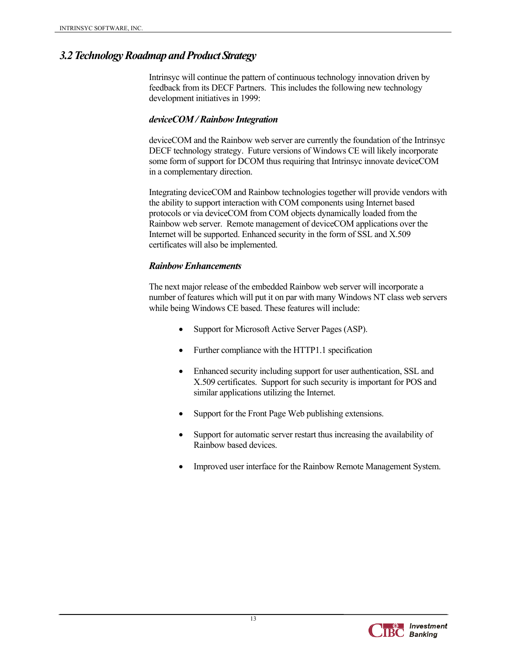## *3.2 Technology Roadmap and Product Strategy*

Intrinsyc will continue the pattern of continuous technology innovation driven by feedback from its DECF Partners. This includes the following new technology development initiatives in 1999:

#### *deviceCOM / Rainbow Integration*

deviceCOM and the Rainbow web server are currently the foundation of the Intrinsyc DECF technology strategy. Future versions of Windows CE will likely incorporate some form of support for DCOM thus requiring that Intrinsyc innovate deviceCOM in a complementary direction.

Integrating deviceCOM and Rainbow technologies together will provide vendors with the ability to support interaction with COM components using Internet based protocols or via deviceCOM from COM objects dynamically loaded from the Rainbow web server. Remote management of deviceCOM applications over the Internet will be supported. Enhanced security in the form of SSL and X.509 certificates will also be implemented.

#### *Rainbow Enhancements*

The next major release of the embedded Rainbow web server will incorporate a number of features which will put it on par with many Windows NT class web servers while being Windows CE based. These features will include:

- Support for Microsoft Active Server Pages (ASP).
- Further compliance with the HTTP1.1 specification
- Enhanced security including support for user authentication, SSL and X.509 certificates. Support for such security is important for POS and similar applications utilizing the Internet.
- Support for the Front Page Web publishing extensions.
- Support for automatic server restart thus increasing the availability of Rainbow based devices.
- Improved user interface for the Rainbow Remote Management System.

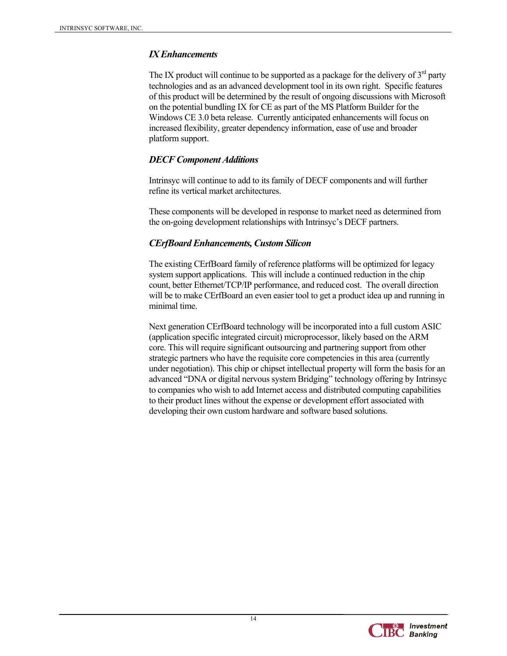#### *IX Enhancements*

The IX product will continue to be supported as a package for the delivery of  $3<sup>rd</sup>$  party technologies and as an advanced development tool in its own right. Specific features of this product will be determined by the result of ongoing discussions with Microsoft on the potential bundling IX for CE as part of the MS Platform Builder for the Windows CE 3.0 beta release. Currently anticipated enhancements will focus on increased flexibility, greater dependency information, ease of use and broader platform support.

### *DECF Component Additions*

Intrinsyc will continue to add to its family of DECF components and will further refine its vertical market architectures.

These components will be developed in response to market need as determined from the on-going development relationships with Intrinsyc's DECF partners.

### *CErfBoard Enhancements, Custom Silicon*

The existing CErfBoard family of reference platforms will be optimized for legacy system support applications. This will include a continued reduction in the chip count, better Ethernet/TCP/IP performance, and reduced cost. The overall direction will be to make CErfBoard an even easier tool to get a product idea up and running in minimal time.

Next generation CErfBoard technology will be incorporated into a full custom ASIC (application specific integrated circuit) microprocessor, likely based on the ARM core. This will require significant outsourcing and partnering support from other strategic partners who have the requisite core competencies in this area (currently under negotiation). This chip or chipset intellectual property will form the basis for an advanced "DNA or digital nervous system Bridging" technology offering by Intrinsyc to companies who wish to add Internet access and distributed computing capabilities to their product lines without the expense or development effort associated with developing their own custom hardware and software based solutions.

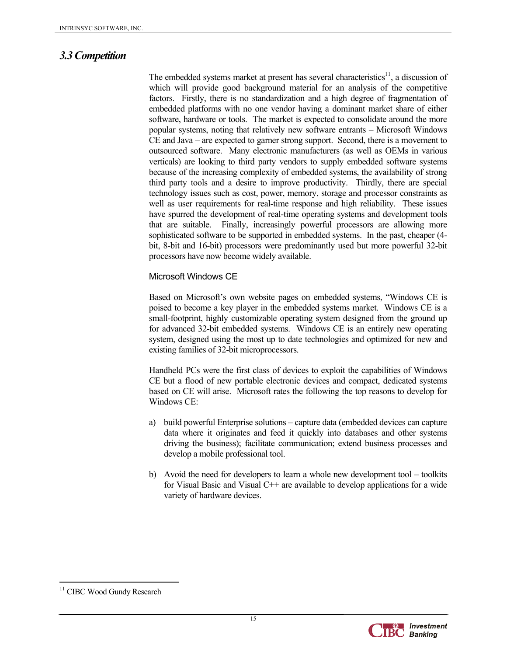## *3.3 Competition*

The embedded systems market at present has several characteristics<sup>11</sup>, a discussion of which will provide good background material for an analysis of the competitive factors. Firstly, there is no standardization and a high degree of fragmentation of embedded platforms with no one vendor having a dominant market share of either software, hardware or tools. The market is expected to consolidate around the more popular systems, noting that relatively new software entrants – Microsoft Windows CE and Java – are expected to garner strong support. Second, there is a movement to outsourced software. Many electronic manufacturers (as well as OEMs in various verticals) are looking to third party vendors to supply embedded software systems because of the increasing complexity of embedded systems, the availability of strong third party tools and a desire to improve productivity. Thirdly, there are special technology issues such as cost, power, memory, storage and processor constraints as well as user requirements for real-time response and high reliability. These issues have spurred the development of real-time operating systems and development tools that are suitable. Finally, increasingly powerful processors are allowing more sophisticated software to be supported in embedded systems. In the past, cheaper (4 bit, 8-bit and 16-bit) processors were predominantly used but more powerful 32-bit processors have now become widely available.

#### Microsoft Windows CE

Based on Microsoft's own website pages on embedded systems, "Windows CE is poised to become a key player in the embedded systems market. Windows CE is a small-footprint, highly customizable operating system designed from the ground up for advanced 32-bit embedded systems. Windows CE is an entirely new operating system, designed using the most up to date technologies and optimized for new and existing families of 32-bit microprocessors.

Handheld PCs were the first class of devices to exploit the capabilities of Windows CE but a flood of new portable electronic devices and compact, dedicated systems based on CE will arise. Microsoft rates the following the top reasons to develop for Windows CE:

- a) build powerful Enterprise solutions capture data (embedded devices can capture data where it originates and feed it quickly into databases and other systems driving the business); facilitate communication; extend business processes and develop a mobile professional tool.
- b) Avoid the need for developers to learn a whole new development tool toolkits for Visual Basic and Visual  $C++$  are available to develop applications for a wide variety of hardware devices.

 $\overline{a}$ 



<sup>&</sup>lt;sup>11</sup> CIBC Wood Gundy Research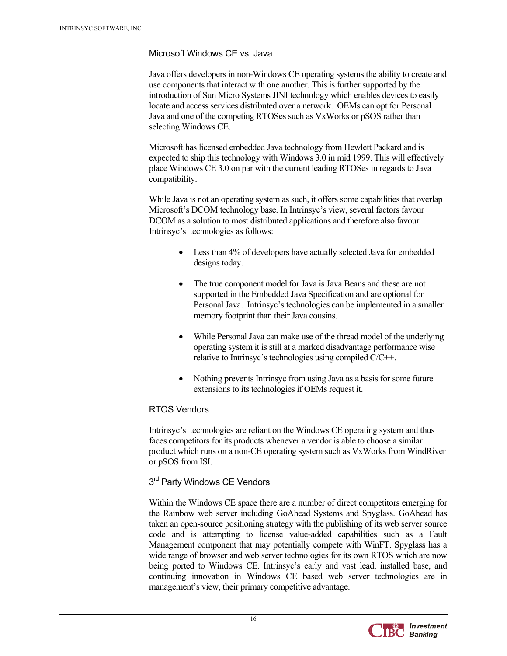#### Microsoft Windows CE vs. Java

Java offers developers in non-Windows CE operating systems the ability to create and use components that interact with one another. This is further supported by the introduction of Sun Micro Systems JINI technology which enables devices to easily locate and access services distributed over a network. OEMs can opt for Personal Java and one of the competing RTOSes such as VxWorks or pSOS rather than selecting Windows CE.

Microsoft has licensed embedded Java technology from Hewlett Packard and is expected to ship this technology with Windows 3.0 in mid 1999. This will effectively place Windows CE 3.0 on par with the current leading RTOSes in regards to Java compatibility.

While Java is not an operating system as such, it offers some capabilities that overlap Microsoft's DCOM technology base. In Intrinsyc's view, several factors favour DCOM as a solution to most distributed applications and therefore also favour Intrinsyc's technologies as follows:

- Less than 4% of developers have actually selected Java for embedded designs today.
- The true component model for Java is Java Beans and these are not supported in the Embedded Java Specification and are optional for Personal Java. Intrinsyc's technologies can be implemented in a smaller memory footprint than their Java cousins.
- While Personal Java can make use of the thread model of the underlying operating system it is still at a marked disadvantage performance wise relative to Intrinsyc's technologies using compiled C/C++.
- Nothing prevents Intrinsyc from using Java as a basis for some future extensions to its technologies if OEMs request it.

#### RTOS Vendors

Intrinsyc's technologies are reliant on the Windows CE operating system and thus faces competitors for its products whenever a vendor is able to choose a similar product which runs on a non-CE operating system such as VxWorks from WindRiver or pSOS from ISI.

#### 3<sup>rd</sup> Party Windows CE Vendors

Within the Windows CE space there are a number of direct competitors emerging for the Rainbow web server including GoAhead Systems and Spyglass. GoAhead has taken an open-source positioning strategy with the publishing of its web server source code and is attempting to license value-added capabilities such as a Fault Management component that may potentially compete with WinFT. Spyglass has a wide range of browser and web server technologies for its own RTOS which are now being ported to Windows CE. Intrinsyc's early and vast lead, installed base, and continuing innovation in Windows CE based web server technologies are in management's view, their primary competitive advantage.

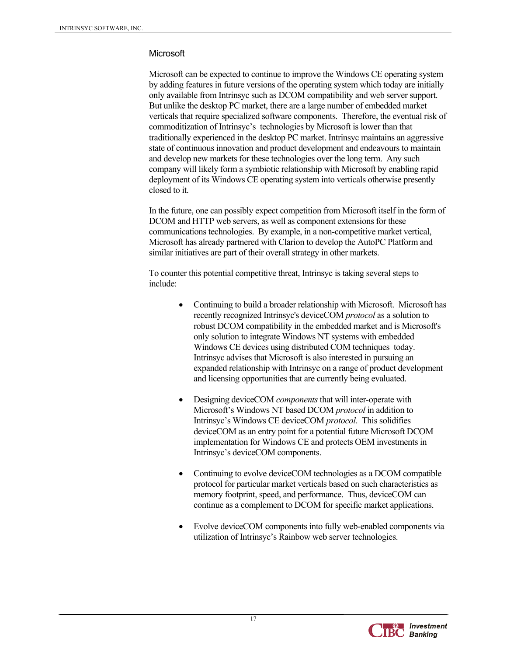#### **Microsoft**

Microsoft can be expected to continue to improve the Windows CE operating system by adding features in future versions of the operating system which today are initially only available from Intrinsyc such as DCOM compatibility and web server support. But unlike the desktop PC market, there are a large number of embedded market verticals that require specialized software components. Therefore, the eventual risk of commoditization of Intrinsyc's technologies by Microsoft is lower than that traditionally experienced in the desktop PC market. Intrinsyc maintains an aggressive state of continuous innovation and product development and endeavours to maintain and develop new markets for these technologies over the long term. Any such company will likely form a symbiotic relationship with Microsoft by enabling rapid deployment of its Windows CE operating system into verticals otherwise presently closed to it.

In the future, one can possibly expect competition from Microsoft itself in the form of DCOM and HTTP web servers, as well as component extensions for these communications technologies. By example, in a non-competitive market vertical, Microsoft has already partnered with Clarion to develop the AutoPC Platform and similar initiatives are part of their overall strategy in other markets.

To counter this potential competitive threat, Intrinsyc is taking several steps to include:

- Continuing to build a broader relationship with Microsoft. Microsoft has recently recognized Intrinsyc's deviceCOM *protocol* as a solution to robust DCOM compatibility in the embedded market and is Microsoft's only solution to integrate Windows NT systems with embedded Windows CE devices using distributed COM techniques today. Intrinsyc advises that Microsoft is also interested in pursuing an expanded relationship with Intrinsyc on a range of product development and licensing opportunities that are currently being evaluated.
- Designing deviceCOM *components* that will inter-operate with Microsoft's Windows NT based DCOM *protocol* in addition to Intrinsyc's Windows CE deviceCOM *protocol*. This solidifies deviceCOM as an entry point for a potential future Microsoft DCOM implementation for Windows CE and protects OEM investments in Intrinsyc's deviceCOM components.
- Continuing to evolve deviceCOM technologies as a DCOM compatible protocol for particular market verticals based on such characteristics as memory footprint, speed, and performance. Thus, deviceCOM can continue as a complement to DCOM for specific market applications.
- Evolve deviceCOM components into fully web-enabled components via utilization of Intrinsyc's Rainbow web server technologies.

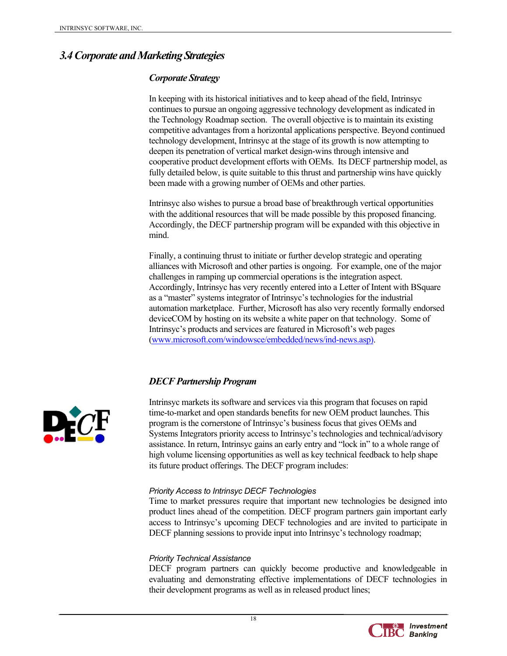## *3.4 Corporate and Marketing Strategies*

#### *Corporate Strategy*

In keeping with its historical initiatives and to keep ahead of the field, Intrinsyc continues to pursue an ongoing aggressive technology development as indicated in the Technology Roadmap section. The overall objective is to maintain its existing competitive advantages from a horizontal applications perspective. Beyond continued technology development, Intrinsyc at the stage of its growth is now attempting to deepen its penetration of vertical market design-wins through intensive and cooperative product development efforts with OEMs. Its DECF partnership model, as fully detailed below, is quite suitable to this thrust and partnership wins have quickly been made with a growing number of OEMs and other parties.

Intrinsyc also wishes to pursue a broad base of breakthrough vertical opportunities with the additional resources that will be made possible by this proposed financing. Accordingly, the DECF partnership program will be expanded with this objective in mind.

Finally, a continuing thrust to initiate or further develop strategic and operating alliances with Microsoft and other parties is ongoing. For example, one of the major challenges in ramping up commercial operations is the integration aspect. Accordingly, Intrinsyc has very recently entered into a Letter of Intent with BSquare as a "master" systems integrator of Intrinsyc's technologies for the industrial automation marketplace. Further, Microsoft has also very recently formally endorsed deviceCOM by hosting on its website a white paper on that technology. Some of Intrinsyc's products and services are featured in Microsoft's web pages (www.microsoft.com/windowsce/embedded/news/ind-news.asp).

## *DECF Partnership Program*

Intrinsyc markets its software and services via this program that focuses on rapid time-to-market and open standards benefits for new OEM product launches. This program is the cornerstone of Intrinsyc's business focus that gives OEMs and Systems Integrators priority access to Intrinsyc's technologies and technical/advisory assistance. In return, Intrinsyc gains an early entry and "lock in" to a whole range of high volume licensing opportunities as well as key technical feedback to help shape its future product offerings. The DECF program includes:

#### *Priority Access to Intrinsyc DECF Technologies*

Time to market pressures require that important new technologies be designed into product lines ahead of the competition. DECF program partners gain important early access to Intrinsyc's upcoming DECF technologies and are invited to participate in DECF planning sessions to provide input into Intrinsyc's technology roadmap;

#### *Priority Technical Assistance*

DECF program partners can quickly become productive and knowledgeable in evaluating and demonstrating effective implementations of DECF technologies in their development programs as well as in released product lines;



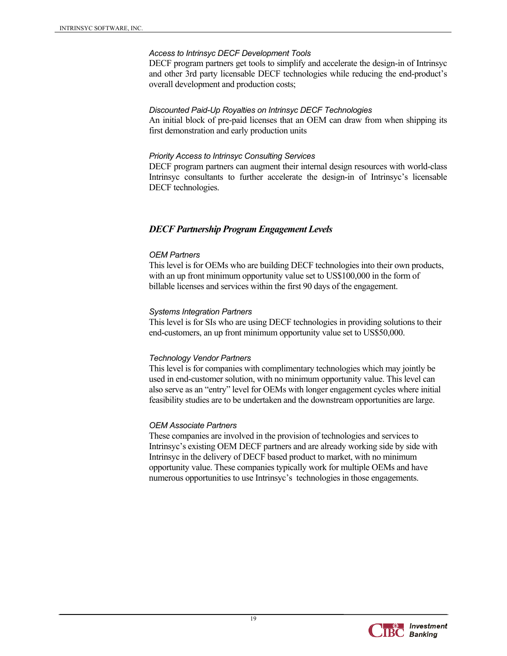#### *Access to Intrinsyc DECF Development Tools*

DECF program partners get tools to simplify and accelerate the design-in of Intrinsyc and other 3rd party licensable DECF technologies while reducing the end-product's overall development and production costs;

#### *Discounted Paid-Up Royalties on Intrinsyc DECF Technologies*

An initial block of pre-paid licenses that an OEM can draw from when shipping its first demonstration and early production units

#### *Priority Access to Intrinsyc Consulting Services*

DECF program partners can augment their internal design resources with world-class Intrinsyc consultants to further accelerate the design-in of Intrinsyc's licensable DECF technologies.

#### *DECF Partnership Program Engagement Levels*

#### *OEM Partners*

This level is for OEMs who are building DECF technologies into their own products, with an up front minimum opportunity value set to US\$100,000 in the form of billable licenses and services within the first 90 days of the engagement.

#### *Systems Integration Partners*

This level is for SIs who are using DECF technologies in providing solutions to their end-customers, an up front minimum opportunity value set to US\$50,000.

#### *Technology Vendor Partners*

This level is for companies with complimentary technologies which may jointly be used in end-customer solution, with no minimum opportunity value. This level can also serve as an "entry" level for OEMs with longer engagement cycles where initial feasibility studies are to be undertaken and the downstream opportunities are large.

#### *OEM Associate Partners*

These companies are involved in the provision of technologies and services to Intrinsyc's existing OEM DECF partners and are already working side by side with Intrinsyc in the delivery of DECF based product to market, with no minimum opportunity value. These companies typically work for multiple OEMs and have numerous opportunities to use Intrinsyc's technologies in those engagements.

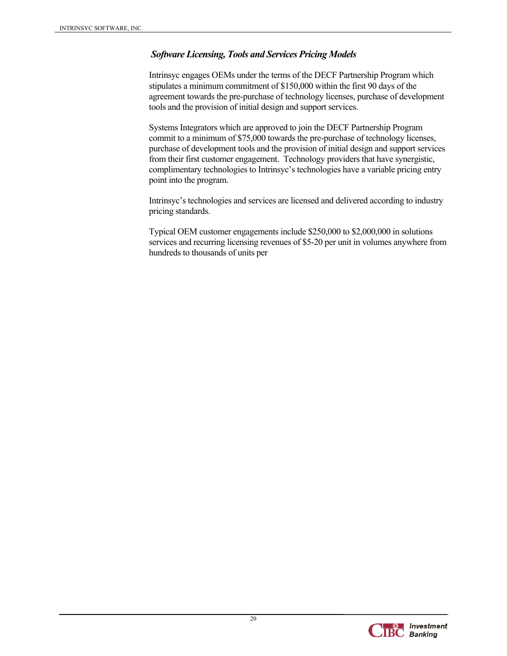#### *Software Licensing, Tools and Services Pricing Models*

Intrinsyc engages OEMs under the terms of the DECF Partnership Program which stipulates a minimum commitment of \$150,000 within the first 90 days of the agreement towards the pre-purchase of technology licenses, purchase of development tools and the provision of initial design and support services.

Systems Integrators which are approved to join the DECF Partnership Program commit to a minimum of \$75,000 towards the pre-purchase of technology licenses, purchase of development tools and the provision of initial design and support services from their first customer engagement. Technology providers that have synergistic, complimentary technologies to Intrinsyc's technologies have a variable pricing entry point into the program.

Intrinsyc's technologies and services are licensed and delivered according to industry pricing standards.

Typical OEM customer engagements include \$250,000 to \$2,000,000 in solutions services and recurring licensing revenues of \$5-20 per unit in volumes anywhere from hundreds to thousands of units per

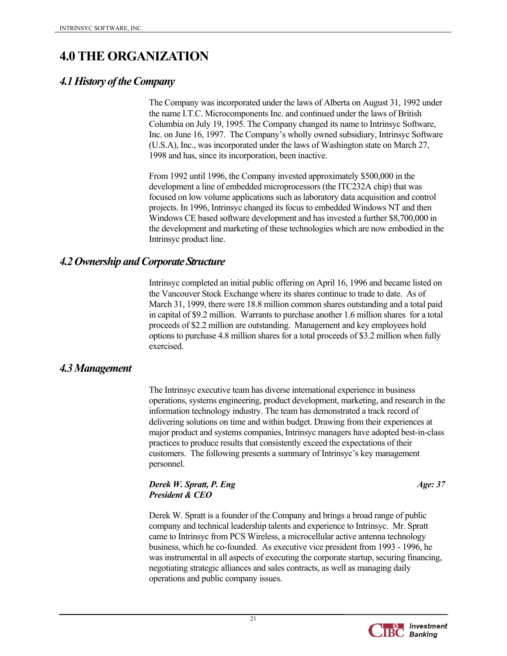## **4.0 THE ORGANIZATION**

## *4.1 History of the Company*

The Company was incorporated under the laws of Alberta on August 31, 1992 under the name I.T.C. Microcomponents Inc. and continued under the laws of British Columbia on July 19, 1995. The Company changed its name to Intrinsyc Software, Inc. on June 16, 1997. The Company's wholly owned subsidiary, Intrinsyc Software (U.S.A), Inc., was incorporated under the laws of Washington state on March 27, 1998 and has, since its incorporation, been inactive.

From 1992 until 1996, the Company invested approximately \$500,000 in the development a line of embedded microprocessors (the ITC232A chip) that was focused on low volume applications such as laboratory data acquisition and control projects. In 1996, Intrinsyc changed its focus to embedded Windows NT and then Windows CE based software development and has invested a further \$8,700,000 in the development and marketing of these technologies which are now embodied in the Intrinsyc product line.

## *4.2 Ownership and Corporate Structure*

Intrinsyc completed an initial public offering on April 16, 1996 and became listed on the Vancouver Stock Exchange where its shares continue to trade to date. As of March 31, 1999, there were 18.8 million common shares outstanding and a total paid in capital of \$9.2 million. Warrants to purchase another 1.6 million shares for a total proceeds of \$2.2 million are outstanding. Management and key employees hold options to purchase 4.8 million shares for a total proceeds of \$3.2 million when fully exercised.

## *4.3 Management*

The Intrinsyc executive team has diverse international experience in business operations, systems engineering, product development, marketing, and research in the information technology industry. The team has demonstrated a track record of delivering solutions on time and within budget. Drawing from their experiences at major product and systems companies, Intrinsyc managers have adopted best-in-class practices to produce results that consistently exceed the expectations of their customers. The following presents a summary of Intrinsyc's key management personnel.

#### *Derek W. Spratt, P. Eng* Age: 37 *President & CEO*

Derek W. Spratt is a founder of the Company and brings a broad range of public company and technical leadership talents and experience to Intrinsyc. Mr. Spratt came to Intrinsyc from PCS Wireless, a microcellular active antenna technology business, which he co-founded. As executive vice president from 1993 - 1996, he was instrumental in all aspects of executing the corporate startup, securing financing, negotiating strategic alliances and sales contracts, as well as managing daily operations and public company issues.

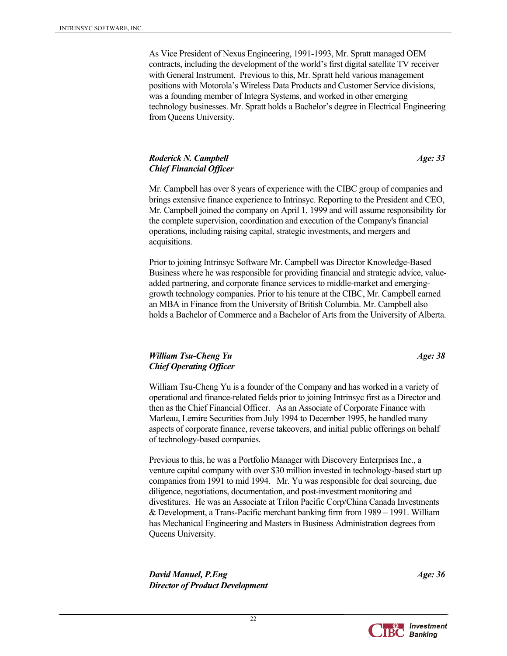As Vice President of Nexus Engineering, 1991-1993, Mr. Spratt managed OEM contracts, including the development of the world's first digital satellite TV receiver with General Instrument. Previous to this, Mr. Spratt held various management positions with Motorola's Wireless Data Products and Customer Service divisions, was a founding member of Integra Systems, and worked in other emerging technology businesses. Mr. Spratt holds a Bachelor's degree in Electrical Engineering from Queens University.

#### *Roderick N. Campbell* **Age:** 33 *Age: 33 Chief Financial Officer*

Mr. Campbell has over 8 years of experience with the CIBC group of companies and brings extensive finance experience to Intrinsyc. Reporting to the President and CEO, Mr. Campbell joined the company on April 1, 1999 and will assume responsibility for the complete supervision, coordination and execution of the Company's financial operations, including raising capital, strategic investments, and mergers and acquisitions.

Prior to joining Intrinsyc Software Mr. Campbell was Director Knowledge-Based Business where he was responsible for providing financial and strategic advice, valueadded partnering, and corporate finance services to middle-market and emerginggrowth technology companies. Prior to his tenure at the CIBC, Mr. Campbell earned an MBA in Finance from the University of British Columbia. Mr. Campbell also holds a Bachelor of Commerce and a Bachelor of Arts from the University of Alberta.

#### *William Tsu-Cheng Yu* **Age:** 38 *Chief Operating Officer*

William Tsu-Cheng Yu is a founder of the Company and has worked in a variety of operational and finance-related fields prior to joining Intrinsyc first as a Director and then as the Chief Financial Officer. As an Associate of Corporate Finance with Marleau, Lemire Securities from July 1994 to December 1995, he handled many aspects of corporate finance, reverse takeovers, and initial public offerings on behalf of technology-based companies.

Previous to this, he was a Portfolio Manager with Discovery Enterprises Inc., a venture capital company with over \$30 million invested in technology-based start up companies from 1991 to mid 1994. Mr. Yu was responsible for deal sourcing, due diligence, negotiations, documentation, and post-investment monitoring and divestitures. He was an Associate at Trilon Pacific Corp/China Canada Investments & Development, a Trans-Pacific merchant banking firm from 1989 – 1991. William has Mechanical Engineering and Masters in Business Administration degrees from Queens University.

*David Manuel, P.Eng* Age: 36 *Age: 36 Age: 36 Age: 36 Director of Product Development* 



 $22$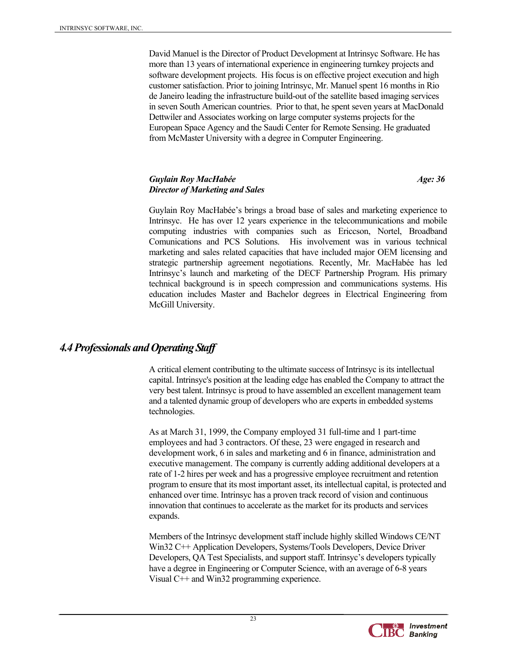David Manuel is the Director of Product Development at Intrinsyc Software. He has more than 13 years of international experience in engineering turnkey projects and software development projects. His focus is on effective project execution and high customer satisfaction. Prior to joining Intrinsyc, Mr. Manuel spent 16 months in Rio de Janeiro leading the infrastructure build-out of the satellite based imaging services in seven South American countries. Prior to that, he spent seven years at MacDonald Dettwiler and Associates working on large computer systems projects for the European Space Agency and the Saudi Center for Remote Sensing. He graduated from McMaster University with a degree in Computer Engineering.

#### *Guylain Roy MacHabée Age: 36 Director of Marketing and Sales*

Guylain Roy MacHabée's brings a broad base of sales and marketing experience to Intrinsyc. He has over 12 years experience in the telecommunications and mobile computing industries with companies such as Ericcson, Nortel, Broadband Comunications and PCS Solutions. His involvement was in various technical marketing and sales related capacities that have included major OEM licensing and strategic partnership agreement negotiations. Recently, Mr. MacHabée has led Intrinsyc's launch and marketing of the DECF Partnership Program. His primary technical background is in speech compression and communications systems. His education includes Master and Bachelor degrees in Electrical Engineering from McGill University.

## *4.4 Professionals and Operating Staff*

A critical element contributing to the ultimate success of Intrinsyc is its intellectual capital. Intrinsyc's position at the leading edge has enabled the Company to attract the very best talent. Intrinsyc is proud to have assembled an excellent management team and a talented dynamic group of developers who are experts in embedded systems technologies.

As at March 31, 1999, the Company employed 31 full-time and 1 part-time employees and had 3 contractors. Of these, 23 were engaged in research and development work, 6 in sales and marketing and 6 in finance, administration and executive management. The company is currently adding additional developers at a rate of 1-2 hires per week and has a progressive employee recruitment and retention program to ensure that its most important asset, its intellectual capital, is protected and enhanced over time. Intrinsyc has a proven track record of vision and continuous innovation that continues to accelerate as the market for its products and services expands.

Members of the Intrinsyc development staff include highly skilled Windows CE/NT Win32 C++ Application Developers, Systems/Tools Developers, Device Driver Developers, QA Test Specialists, and support staff. Intrinsyc's developers typically have a degree in Engineering or Computer Science, with an average of 6-8 years Visual C++ and Win32 programming experience.

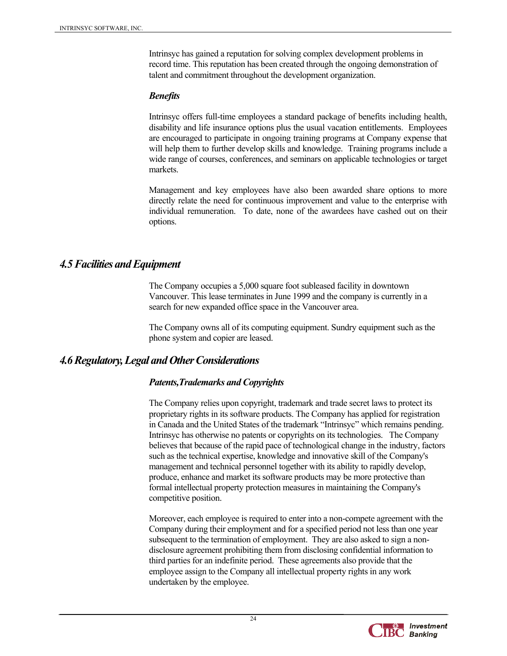Intrinsyc has gained a reputation for solving complex development problems in record time. This reputation has been created through the ongoing demonstration of talent and commitment throughout the development organization.

#### *Benefits*

Intrinsyc offers full-time employees a standard package of benefits including health, disability and life insurance options plus the usual vacation entitlements. Employees are encouraged to participate in ongoing training programs at Company expense that will help them to further develop skills and knowledge. Training programs include a wide range of courses, conferences, and seminars on applicable technologies or target markets.

Management and key employees have also been awarded share options to more directly relate the need for continuous improvement and value to the enterprise with individual remuneration. To date, none of the awardees have cashed out on their options.

## *4.5 Facilities and Equipment*

The Company occupies a 5,000 square foot subleased facility in downtown Vancouver. This lease terminates in June 1999 and the company is currently in a search for new expanded office space in the Vancouver area.

The Company owns all of its computing equipment. Sundry equipment such as the phone system and copier are leased.

## *4.6 Regulatory, Legal and Other Considerations*

#### *Patents,Trademarks and Copyrights*

The Company relies upon copyright, trademark and trade secret laws to protect its proprietary rights in its software products. The Company has applied for registration in Canada and the United States of the trademark "Intrinsyc" which remains pending. Intrinsyc has otherwise no patents or copyrights on its technologies. The Company believes that because of the rapid pace of technological change in the industry, factors such as the technical expertise, knowledge and innovative skill of the Company's management and technical personnel together with its ability to rapidly develop, produce, enhance and market its software products may be more protective than formal intellectual property protection measures in maintaining the Company's competitive position.

Moreover, each employee is required to enter into a non-compete agreement with the Company during their employment and for a specified period not less than one year subsequent to the termination of employment. They are also asked to sign a nondisclosure agreement prohibiting them from disclosing confidential information to third parties for an indefinite period. These agreements also provide that the employee assign to the Company all intellectual property rights in any work undertaken by the employee.

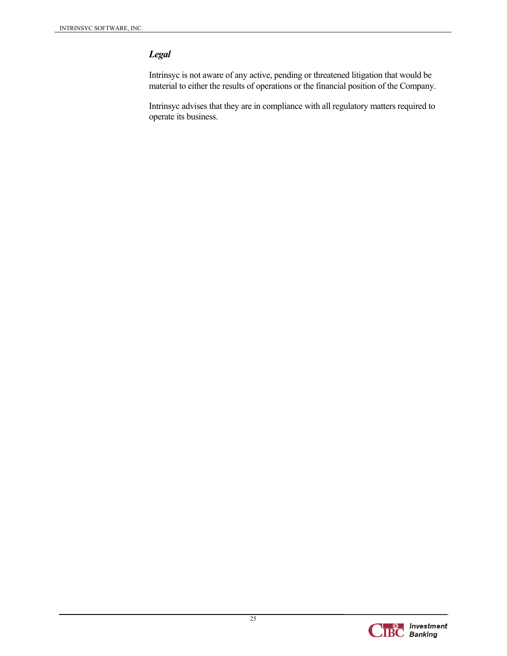## *Legal*

Intrinsyc is not aware of any active, pending or threatened litigation that would be material to either the results of operations or the financial position of the Company.

Intrinsyc advises that they are in compliance with all regulatory matters required to operate its business.

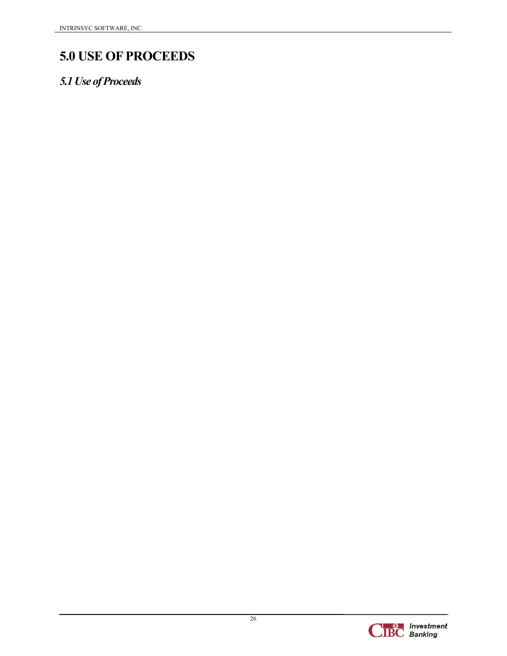## **5.0 USE OF PROCEEDS**

## *5.1 Use of Proceeds*

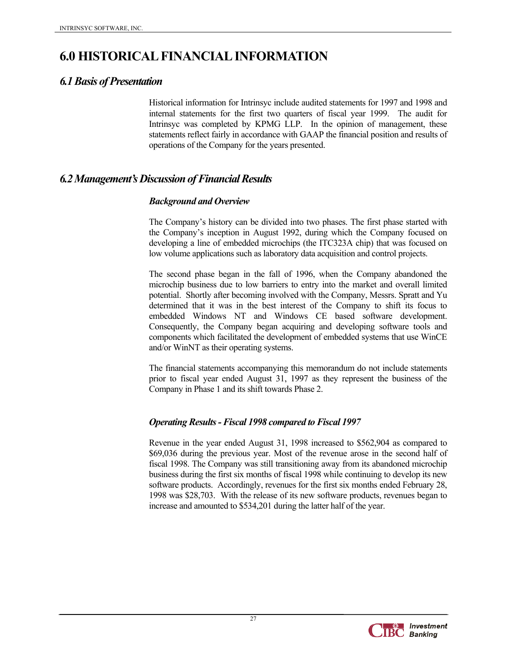## **6.0 HISTORICAL FINANCIAL INFORMATION**

## *6.1 Basis of Presentation*

Historical information for Intrinsyc include audited statements for 1997 and 1998 and internal statements for the first two quarters of fiscal year 1999. The audit for Intrinsyc was completed by KPMG LLP. In the opinion of management, these statements reflect fairly in accordance with GAAP the financial position and results of operations of the Company for the years presented.

## *6.2 Management's Discussion of Financial Results*

### *Background and Overview*

The Company's history can be divided into two phases. The first phase started with the Company's inception in August 1992, during which the Company focused on developing a line of embedded microchips (the ITC323A chip) that was focused on low volume applications such as laboratory data acquisition and control projects.

The second phase began in the fall of 1996, when the Company abandoned the microchip business due to low barriers to entry into the market and overall limited potential. Shortly after becoming involved with the Company, Messrs. Spratt and Yu determined that it was in the best interest of the Company to shift its focus to embedded Windows NT and Windows CE based software development. Consequently, the Company began acquiring and developing software tools and components which facilitated the development of embedded systems that use WinCE and/or WinNT as their operating systems.

The financial statements accompanying this memorandum do not include statements prior to fiscal year ended August 31, 1997 as they represent the business of the Company in Phase 1 and its shift towards Phase 2.

## *Operating Results - Fiscal 1998 compared to Fiscal 1997*

Revenue in the year ended August 31, 1998 increased to \$562,904 as compared to \$69,036 during the previous year. Most of the revenue arose in the second half of fiscal 1998. The Company was still transitioning away from its abandoned microchip business during the first six months of fiscal 1998 while continuing to develop its new software products. Accordingly, revenues for the first six months ended February 28, 1998 was \$28,703. With the release of its new software products, revenues began to increase and amounted to \$534,201 during the latter half of the year.

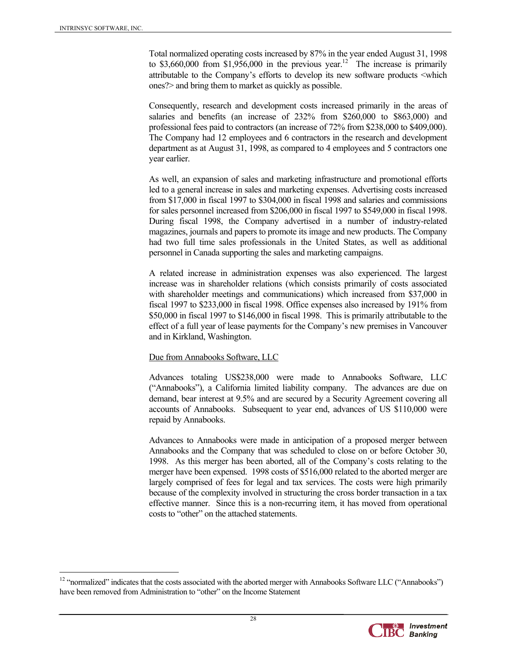$\overline{a}$ 

Total normalized operating costs increased by 87% in the year ended August 31, 1998 to \$3,660,000 from \$1,956,000 in the previous year.<sup>12</sup> The increase is primarily attributable to the Company's efforts to develop its new software products <which ones?> and bring them to market as quickly as possible.

Consequently, research and development costs increased primarily in the areas of salaries and benefits (an increase of 232% from \$260,000 to \$863,000) and professional fees paid to contractors (an increase of 72% from \$238,000 to \$409,000). The Company had 12 employees and 6 contractors in the research and development department as at August 31, 1998, as compared to 4 employees and 5 contractors one year earlier.

As well, an expansion of sales and marketing infrastructure and promotional efforts led to a general increase in sales and marketing expenses. Advertising costs increased from \$17,000 in fiscal 1997 to \$304,000 in fiscal 1998 and salaries and commissions for sales personnel increased from \$206,000 in fiscal 1997 to \$549,000 in fiscal 1998. During fiscal 1998, the Company advertised in a number of industry-related magazines, journals and papers to promote its image and new products. The Company had two full time sales professionals in the United States, as well as additional personnel in Canada supporting the sales and marketing campaigns.

A related increase in administration expenses was also experienced. The largest increase was in shareholder relations (which consists primarily of costs associated with shareholder meetings and communications) which increased from \$37,000 in fiscal 1997 to \$233,000 in fiscal 1998. Office expenses also increased by 191% from \$50,000 in fiscal 1997 to \$146,000 in fiscal 1998. This is primarily attributable to the effect of a full year of lease payments for the Company's new premises in Vancouver and in Kirkland, Washington.

#### Due from Annabooks Software, LLC

Advances totaling US\$238,000 were made to Annabooks Software, LLC ("Annabooks"), a California limited liability company. The advances are due on demand, bear interest at 9.5% and are secured by a Security Agreement covering all accounts of Annabooks. Subsequent to year end, advances of US \$110,000 were repaid by Annabooks.

Advances to Annabooks were made in anticipation of a proposed merger between Annabooks and the Company that was scheduled to close on or before October 30, 1998. As this merger has been aborted, all of the Company's costs relating to the merger have been expensed. 1998 costs of \$516,000 related to the aborted merger are largely comprised of fees for legal and tax services. The costs were high primarily because of the complexity involved in structuring the cross border transaction in a tax effective manner. Since this is a non-recurring item, it has moved from operational costs to "other" on the attached statements.

<sup>&</sup>lt;sup>12</sup> "normalized" indicates that the costs associated with the aborted merger with Annabooks Software LLC ("Annabooks") have been removed from Administration to "other" on the Income Statement

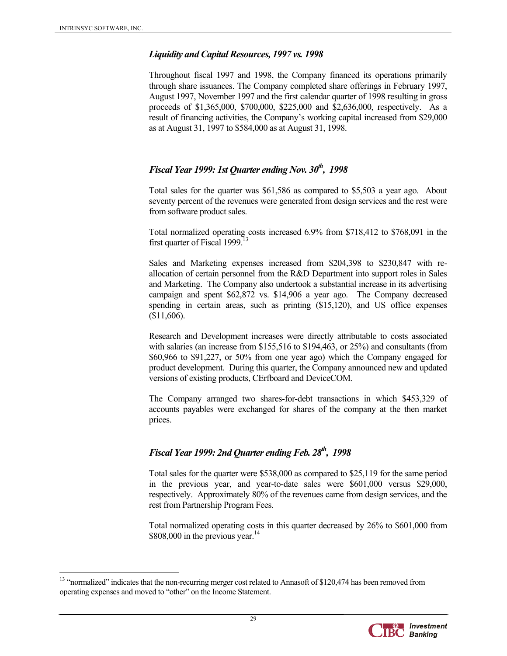$\overline{a}$ 

#### *Liquidity and Capital Resources, 1997 vs. 1998*

Throughout fiscal 1997 and 1998, the Company financed its operations primarily through share issuances. The Company completed share offerings in February 1997, August 1997, November 1997 and the first calendar quarter of 1998 resulting in gross proceeds of \$1,365,000, \$700,000, \$225,000 and \$2,636,000, respectively. As a result of financing activities, the Company's working capital increased from \$29,000 as at August 31, 1997 to \$584,000 as at August 31, 1998.

### *Fiscal Year 1999: 1st Quarter ending Nov. 30<sup>th</sup>, 1998*

Total sales for the quarter was \$61,586 as compared to \$5,503 a year ago. About seventy percent of the revenues were generated from design services and the rest were from software product sales.

Total normalized operating costs increased 6.9% from \$718,412 to \$768,091 in the first quarter of Fiscal 1999.<sup>13</sup>

Sales and Marketing expenses increased from \$204,398 to \$230,847 with reallocation of certain personnel from the R&D Department into support roles in Sales and Marketing. The Company also undertook a substantial increase in its advertising campaign and spent \$62,872 vs. \$14,906 a year ago. The Company decreased spending in certain areas, such as printing (\$15,120), and US office expenses (\$11,606).

Research and Development increases were directly attributable to costs associated with salaries (an increase from \$155,516 to \$194,463, or 25%) and consultants (from \$60,966 to \$91,227, or 50% from one year ago) which the Company engaged for product development. During this quarter, the Company announced new and updated versions of existing products, CErfboard and DeviceCOM.

The Company arranged two shares-for-debt transactions in which \$453,329 of accounts payables were exchanged for shares of the company at the then market prices.

### *Fiscal Year 1999: 2nd Ouarter ending Feb. 28<sup>th</sup>, 1998*

Total sales for the quarter were \$538,000 as compared to \$25,119 for the same period in the previous year, and year-to-date sales were \$601,000 versus \$29,000, respectively. Approximately 80% of the revenues came from design services, and the rest from Partnership Program Fees.

Total normalized operating costs in this quarter decreased by 26% to \$601,000 from  $$808,000$  in the previous year.<sup>14</sup>

<sup>&</sup>lt;sup>13</sup> "normalized" indicates that the non-recurring merger cost related to Annasoft of \$120,474 has been removed from operating expenses and moved to "other" on the Income Statement.

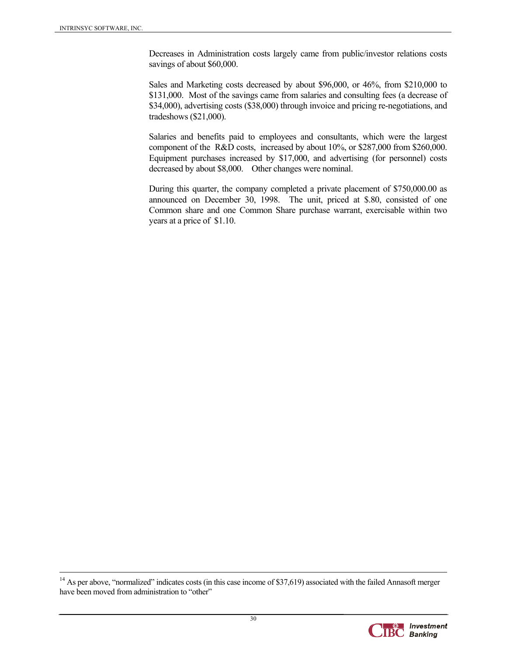Decreases in Administration costs largely came from public/investor relations costs savings of about \$60,000.

Sales and Marketing costs decreased by about \$96,000, or 46%, from \$210,000 to \$131,000. Most of the savings came from salaries and consulting fees (a decrease of \$34,000), advertising costs (\$38,000) through invoice and pricing re-negotiations, and tradeshows (\$21,000).

Salaries and benefits paid to employees and consultants, which were the largest component of the R&D costs, increased by about 10%, or \$287,000 from \$260,000. Equipment purchases increased by \$17,000, and advertising (for personnel) costs decreased by about \$8,000. Other changes were nominal.

During this quarter, the company completed a private placement of \$750,000.00 as announced on December 30, 1998. The unit, priced at \$.80, consisted of one Common share and one Common Share purchase warrant, exercisable within two years at a price of \$1.10.

 $14$  As per above, "normalized" indicates costs (in this case income of \$37,619) associated with the failed Annasoft merger have been moved from administration to "other"

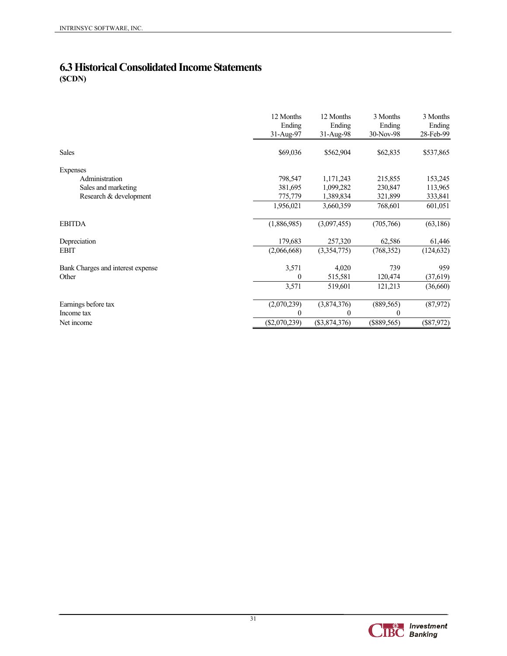## **6.3 Historical Consolidated Income Statements (\$CDN)**

|                                   | 12 Months<br>Ending<br>31-Aug-97 | 12 Months<br>Ending<br>$31-Aug-98$ | 3 Months<br>Ending<br>30-Nov-98 | 3 Months<br>Ending<br>28-Feb-99 |
|-----------------------------------|----------------------------------|------------------------------------|---------------------------------|---------------------------------|
| <b>Sales</b>                      | \$69,036                         | \$562,904                          | \$62,835                        | \$537,865                       |
| Expenses                          |                                  |                                    |                                 |                                 |
| Administration                    | 798,547                          | 1,171,243                          | 215,855                         | 153,245                         |
| Sales and marketing               | 381,695                          | 1,099,282                          | 230,847                         | 113,965                         |
| Research & development            | 775,779                          | 1,389,834                          | 321,899                         | 333,841                         |
|                                   | 1,956,021                        | 3,660,359                          | 768,601                         | 601,051                         |
| <b>EBITDA</b>                     | (1,886,985)                      | (3,097,455)                        | (705,766)                       | (63, 186)                       |
| Depreciation                      | 179,683                          | 257,320                            | 62,586                          | 61,446                          |
| EBIT                              | (2,066,668)                      | (3,354,775)                        | (768, 352)                      | (124, 632)                      |
| Bank Charges and interest expense | 3,571                            | 4,020                              | 739                             | 959                             |
| Other                             | $\theta$                         | 515,581                            | 120,474                         | (37, 619)                       |
|                                   | 3,571                            | 519,601                            | 121,213                         | (36,660)                        |
| Earnings before tax               | (2,070,239)                      | (3,874,376)                        | (889, 565)                      | (87,972)                        |
| Income tax                        | 0                                | 0                                  | 0                               |                                 |
| Net income                        | $(\$2,070,239)$                  | $(\$3,874,376)$                    | $(\$889,565)$                   | (\$87,972)                      |

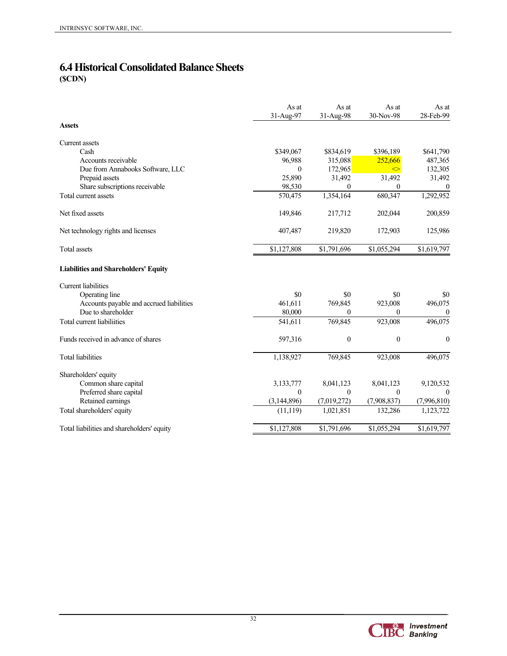## **6.4 Historical Consolidated Balance Sheets (\$CDN)**

|                                             | As at<br>31-Aug-97 | As at<br>31-Aug-98 | As at<br>30-Nov-98 | As at<br>28-Feb-99 |
|---------------------------------------------|--------------------|--------------------|--------------------|--------------------|
| <b>Assets</b>                               |                    |                    |                    |                    |
| Current assets                              |                    |                    |                    |                    |
| Cash                                        | \$349,067          | \$834,619          | \$396,189          | \$641,790          |
| Accounts receivable                         | 96,988             | 315,088            | 252,666            | 487,365            |
| Due from Annabooks Software, LLC            | $\Omega$           | 172,965            | ◇                  | 132,305            |
| Prepaid assets                              | 25,890             | 31,492             | 31,492             | 31,492             |
| Share subscriptions receivable              | 98,530             | 0                  | 0                  | $\boldsymbol{0}$   |
| Total current assets                        | 570,475            | 1,354,164          | 680,347            | 1,292,952          |
| Net fixed assets                            | 149,846            | 217,712            | 202,044            | 200,859            |
| Net technology rights and licenses          | 407,487            | 219,820            | 172,903            | 125,986            |
| Total assets                                | \$1,127,808        | \$1,791,696        | \$1,055,294        | \$1,619,797        |
| <b>Liabilities and Shareholders' Equity</b> |                    |                    |                    |                    |
| <b>Current liabilities</b>                  |                    |                    |                    |                    |
| Operating line                              | \$0                | \$0                | \$0                | \$0                |
| Accounts payable and accrued liabilities    | 461,611            | 769,845            | 923,008            | 496,075            |
| Due to shareholder                          | 80,000             | 0                  | $\theta$           | $\boldsymbol{0}$   |
| Total current liabiliities                  | 541,611            | 769,845            | 923,008            | 496,075            |
| Funds received in advance of shares         | 597,316            | $\boldsymbol{0}$   | $\boldsymbol{0}$   | $\boldsymbol{0}$   |
| <b>Total liabilities</b>                    | 1,138,927          | 769,845            | 923,008            | 496,075            |
| Shareholders' equity                        |                    |                    |                    |                    |
| Common share capital                        | 3,133,777          | 8,041,123          | 8,041,123          | 9,120,532          |
| Preferred share capital                     | $\theta$           | 0                  | $\theta$           | $\Omega$           |
| Retained earnings                           | (3, 144, 896)      | (7,019,272)        | (7,908,837)        | (7,996,810)        |
| Total shareholders' equity                  | (11, 119)          | 1,021,851          | 132,286            | 1,123,722          |
| Total liabilities and shareholders' equity  | \$1,127,808        | \$1,791,696        | \$1,055,294        | \$1,619,797        |

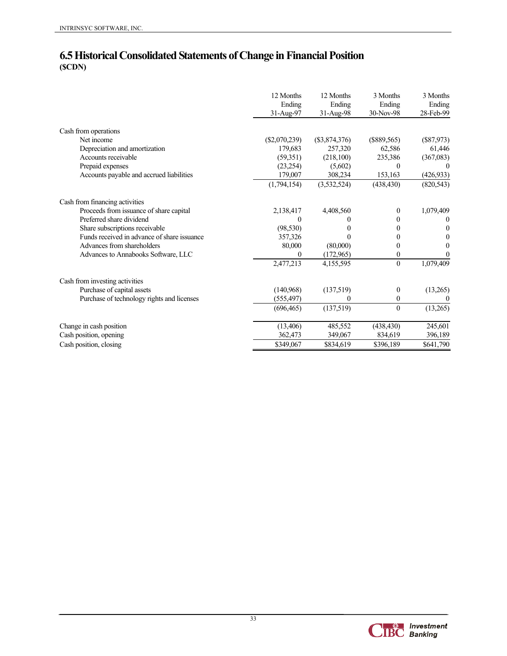### **6.5 Historical Consolidated Statements of Change in Financial Position (\$CDN)**

|                                             | 31-Aug-97       | 31-Aug-98       | Ending<br>30-Nov-98 | Ending<br>28-Feb-99 |
|---------------------------------------------|-----------------|-----------------|---------------------|---------------------|
| Cash from operations                        |                 |                 |                     |                     |
| Net income                                  | $(\$2,070,239)$ | $(\$3,874,376)$ | $(\$889,565)$       | $(\$87,973)$        |
| Depreciation and amortization               | 179,683         | 257,320         | 62,586              | 61,446              |
| Accounts receivable                         | (59, 351)       | (218,100)       | 235,386             | (367,083)           |
| Prepaid expenses                            | (23, 254)       | (5,602)         | $\theta$            |                     |
| Accounts payable and accrued liabilities    | 179,007         | 308,234         | 153,163             | (426, 933)          |
|                                             | (1,794,154)     | (3,532,524)     | (438, 430)          | (820, 543)          |
| Cash from financing activities              |                 |                 |                     |                     |
| Proceeds from issuance of share capital     | 2,138,417       | 4,408,560       | $\theta$            | 1,079,409           |
| Preferred share dividend                    |                 | $_{0}$          | 0                   | $\theta$            |
| Share subscriptions receivable              | (98, 530)       |                 | 0                   | $\mathbf{0}$        |
| Funds received in advance of share issuance | 357,326         | 0               | $\Omega$            | 0                   |
| Advances from shareholders                  | 80,000          | (80,000)        | 0                   | 0                   |
| Advances to Annabooks Software, LLC         | $\Omega$        | (172,965)       | 0                   | $\mathbf{0}$        |
|                                             | 2,477,213       | 4,155,595       | $\mathbf{0}$        | 1,079,409           |
| Cash from investing activities              |                 |                 |                     |                     |
| Purchase of capital assets                  | (140,968)       | (137,519)       | $\overline{0}$      | (13,265)            |
| Purchase of technology rights and licenses  | (555, 497)      | $\Omega$        | $\boldsymbol{0}$    | $\theta$            |
|                                             | (696, 465)      | (137,519)       | $\theta$            | (13,265)            |
| Change in cash position                     | (13, 406)       | 485,552         | (438, 430)          | 245,601             |
| Cash position, opening                      | 362,473         | 349,067         | 834,619             | 396,189             |
| Cash position, closing                      | \$349,067       | \$834,619       | \$396,189           | \$641,790           |

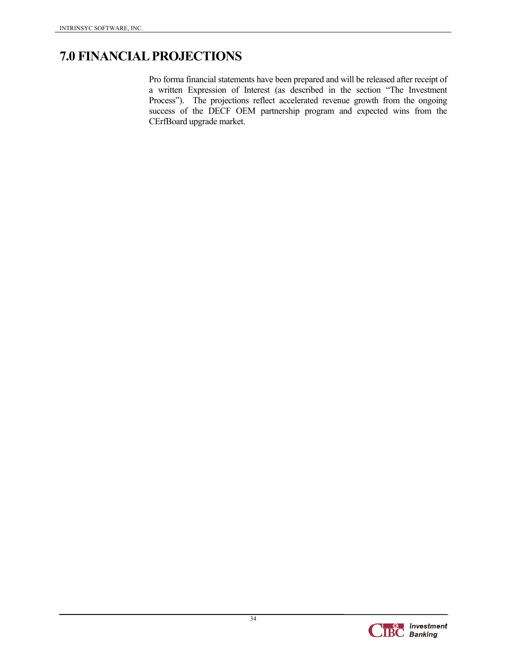## **7.0 FINANCIAL PROJECTIONS**

Pro forma financial statements have been prepared and will be released after receipt of a written Expression of Interest (as described in the section "The Investment Process"). The projections reflect accelerated revenue growth from the ongoing success of the DECF OEM partnership program and expected wins from the CErfBoard upgrade market.

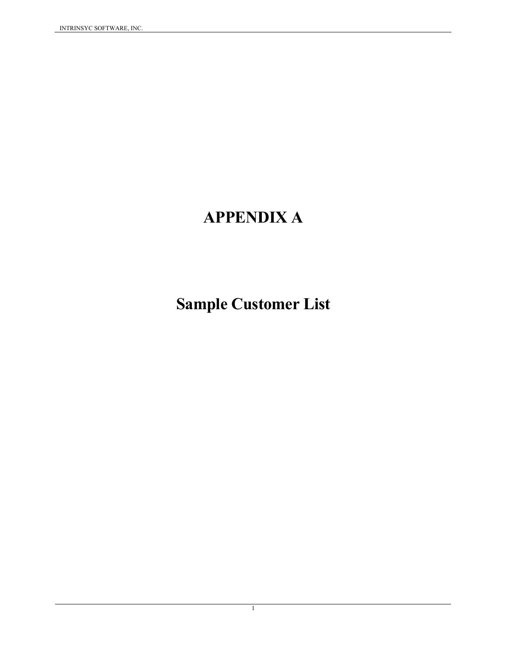# **APPENDIX A**

# **Sample Customer List**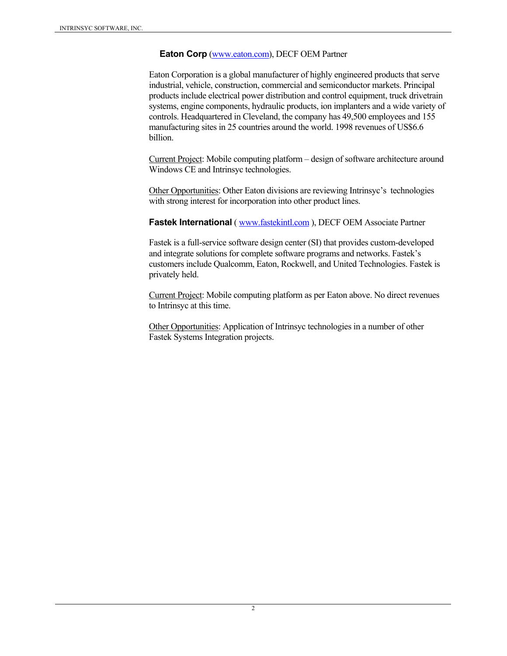#### **Eaton Corp** (www.eaton.com), DECF OEM Partner

Eaton Corporation is a global manufacturer of highly engineered products that serve industrial, vehicle, construction, commercial and semiconductor markets. Principal products include electrical power distribution and control equipment, truck drivetrain systems, engine components, hydraulic products, ion implanters and a wide variety of controls. Headquartered in Cleveland, the company has 49,500 employees and 155 manufacturing sites in 25 countries around the world. 1998 revenues of US\$6.6 billion.

Current Project: Mobile computing platform – design of software architecture around Windows CE and Intrinsyc technologies.

Other Opportunities: Other Eaton divisions are reviewing Intrinsyc's technologies with strong interest for incorporation into other product lines.

**Fastek International** ( www.fastekintl.com ), DECF OEM Associate Partner

Fastek is a full-service software design center (SI) that provides custom-developed and integrate solutions for complete software programs and networks. Fastek's customers include Qualcomm, Eaton, Rockwell, and United Technologies. Fastek is privately held.

Current Project: Mobile computing platform as per Eaton above. No direct revenues to Intrinsyc at this time.

Other Opportunities: Application of Intrinsyc technologies in a number of other Fastek Systems Integration projects.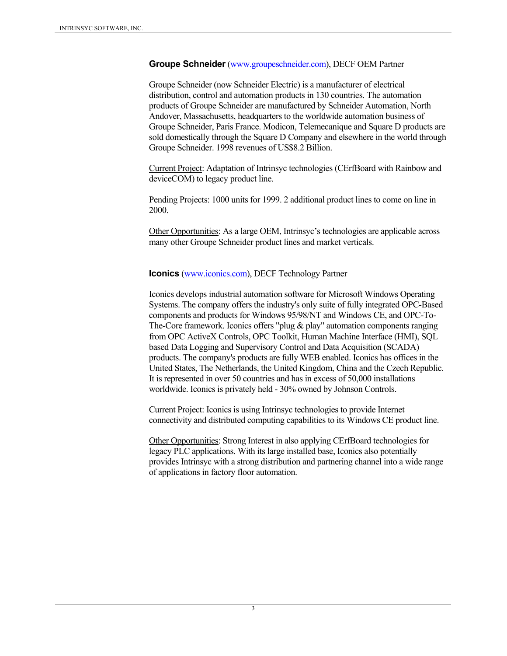#### **Groupe Schneider** (www.groupeschneider.com), DECF OEM Partner

Groupe Schneider (now Schneider Electric) is a manufacturer of electrical distribution, control and automation products in 130 countries. The automation products of Groupe Schneider are manufactured by Schneider Automation, North Andover, Massachusetts, headquarters to the worldwide automation business of Groupe Schneider, Paris France. Modicon, Telemecanique and Square D products are sold domestically through the Square D Company and elsewhere in the world through Groupe Schneider. 1998 revenues of US\$8.2 Billion.

Current Project: Adaptation of Intrinsyc technologies (CErfBoard with Rainbow and deviceCOM) to legacy product line.

Pending Projects: 1000 units for 1999. 2 additional product lines to come on line in 2000.

Other Opportunities: As a large OEM, Intrinsyc's technologies are applicable across many other Groupe Schneider product lines and market verticals.

**Iconics** (www.iconics.com), DECF Technology Partner

Iconics develops industrial automation software for Microsoft Windows Operating Systems. The company offers the industry's only suite of fully integrated OPC-Based components and products for Windows 95/98/NT and Windows CE, and OPC-To-The-Core framework. Iconics offers "plug  $\&$  play" automation components ranging from OPC ActiveX Controls, OPC Toolkit, Human Machine Interface (HMI), SQL based Data Logging and Supervisory Control and Data Acquisition (SCADA) products. The company's products are fully WEB enabled. Iconics has offices in the United States, The Netherlands, the United Kingdom, China and the Czech Republic. It is represented in over 50 countries and has in excess of 50,000 installations worldwide. Iconics is privately held - 30% owned by Johnson Controls.

Current Project: Iconics is using Intrinsyc technologies to provide Internet connectivity and distributed computing capabilities to its Windows CE product line.

Other Opportunities: Strong Interest in also applying CErfBoard technologies for legacy PLC applications. With its large installed base, Iconics also potentially provides Intrinsyc with a strong distribution and partnering channel into a wide range of applications in factory floor automation.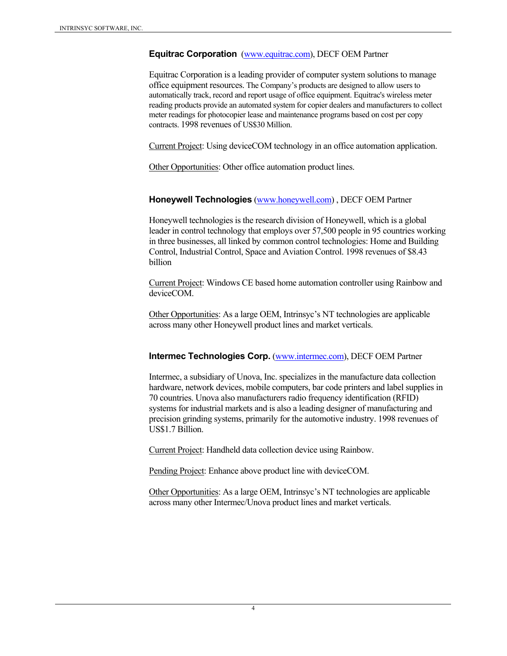#### **Equitrac Corporation** (www.equitrac.com), DECF OEM Partner

Equitrac Corporation is a leading provider of computer system solutions to manage office equipment resources. The Company's products are designed to allow users to automatically track, record and report usage of office equipment. Equitrac's wireless meter reading products provide an automated system for copier dealers and manufacturers to collect meter readings for photocopier lease and maintenance programs based on cost per copy contracts. 1998 revenues of US\$30 Million.

Current Project: Using deviceCOM technology in an office automation application.

Other Opportunities: Other office automation product lines.

#### **Honeywell Technologies** (www.honeywell.com) , DECF OEM Partner

Honeywell technologies is the research division of Honeywell, which is a global leader in control technology that employs over 57,500 people in 95 countries working in three businesses, all linked by common control technologies: Home and Building Control, Industrial Control, Space and Aviation Control. 1998 revenues of \$8.43 billion

Current Project: Windows CE based home automation controller using Rainbow and deviceCOM.

Other Opportunities: As a large OEM, Intrinsyc's NT technologies are applicable across many other Honeywell product lines and market verticals.

#### **Intermec Technologies Corp.** (www.intermec.com), DECF OEM Partner

Intermec, a subsidiary of Unova, Inc. specializes in the manufacture data collection hardware, network devices, mobile computers, bar code printers and label supplies in 70 countries. Unova also manufacturers radio frequency identification (RFID) systems for industrial markets and is also a leading designer of manufacturing and precision grinding systems, primarily for the automotive industry. 1998 revenues of US\$1.7 Billion.

Current Project: Handheld data collection device using Rainbow.

Pending Project: Enhance above product line with deviceCOM.

Other Opportunities: As a large OEM, Intrinsyc's NT technologies are applicable across many other Intermec/Unova product lines and market verticals.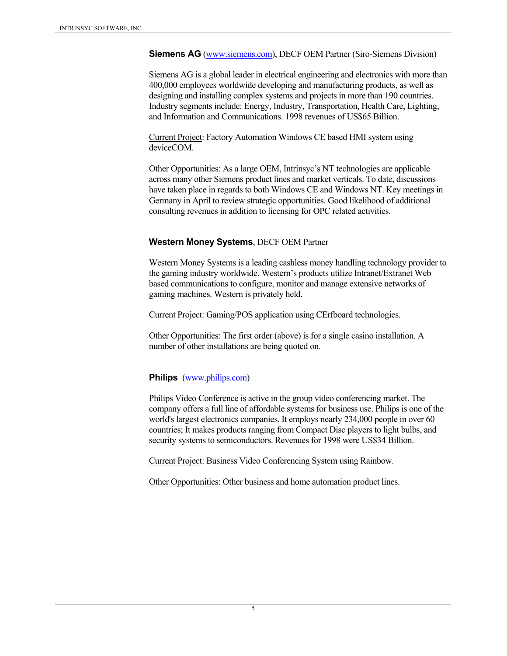**Siemens AG** (www.siemens.com), DECF OEM Partner (Siro-Siemens Division)

Siemens AG is a global leader in electrical engineering and electronics with more than 400,000 employees worldwide developing and manufacturing products, as well as designing and installing complex systems and projects in more than 190 countries. Industry segments include: Energy, Industry, Transportation, Health Care, Lighting, and Information and Communications. 1998 revenues of US\$65 Billion.

Current Project: Factory Automation Windows CE based HMI system using deviceCOM.

Other Opportunities: As a large OEM, Intrinsyc's NT technologies are applicable across many other Siemens product lines and market verticals. To date, discussions have taken place in regards to both Windows CE and Windows NT. Key meetings in Germany in April to review strategic opportunities. Good likelihood of additional consulting revenues in addition to licensing for OPC related activities.

#### **Western Money Systems**, DECF OEM Partner

Western Money Systems is a leading cashless money handling technology provider to the gaming industry worldwide. Western's products utilize Intranet/Extranet Web based communications to configure, monitor and manage extensive networks of gaming machines. Western is privately held.

Current Project: Gaming/POS application using CErfboard technologies.

Other Opportunities: The first order (above) is for a single casino installation. A number of other installations are being quoted on.

#### **Philips** (www.philips.com)

Philips Video Conference is active in the group video conferencing market. The company offers a full line of affordable systems for business use. Philips is one of the world's largest electronics companies. It employs nearly 234,000 people in over 60 countries; It makes products ranging from Compact Disc players to light bulbs, and security systems to semiconductors. Revenues for 1998 were US\$34 Billion.

Current Project: Business Video Conferencing System using Rainbow.

Other Opportunities: Other business and home automation product lines.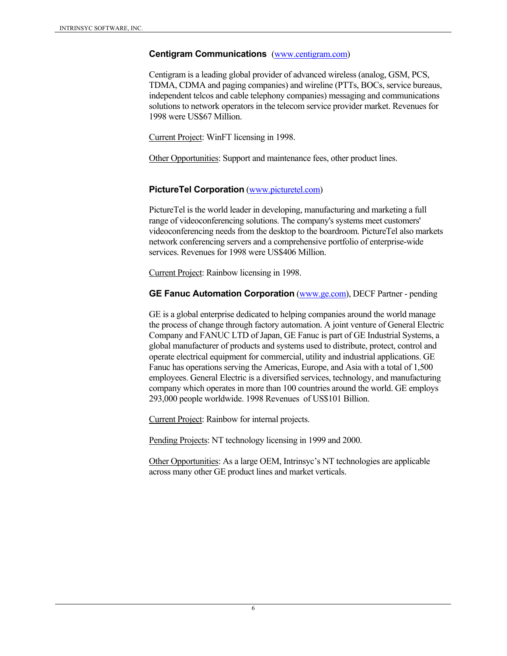#### **Centigram Communications** (www.centigram.com)

Centigram is a leading global provider of advanced wireless (analog, GSM, PCS, TDMA, CDMA and paging companies) and wireline (PTTs, BOCs, service bureaus, independent telcos and cable telephony companies) messaging and communications solutions to network operators in the telecom service provider market. Revenues for 1998 were US\$67 Million.

Current Project: WinFT licensing in 1998.

Other Opportunities: Support and maintenance fees, other product lines.

#### **PictureTel Corporation** (www.picturetel.com)

PictureTel is the world leader in developing, manufacturing and marketing a full range of videoconferencing solutions. The company's systems meet customers' videoconferencing needs from the desktop to the boardroom. PictureTel also markets network conferencing servers and a comprehensive portfolio of enterprise-wide services. Revenues for 1998 were US\$406 Million.

Current Project: Rainbow licensing in 1998.

#### **GE Fanuc Automation Corporation** (www.ge.com), DECF Partner - pending

GE is a global enterprise dedicated to helping companies around the world manage the process of change through factory automation. A joint venture of General Electric Company and FANUC LTD of Japan, GE Fanuc is part of GE Industrial Systems, a global manufacturer of products and systems used to distribute, protect, control and operate electrical equipment for commercial, utility and industrial applications. GE Fanuc has operations serving the Americas, Europe, and Asia with a total of 1,500 employees. General Electric is a diversified services, technology, and manufacturing company which operates in more than 100 countries around the world. GE employs 293,000 people worldwide. 1998 Revenuesof US\$101 Billion.

Current Project: Rainbow for internal projects.

Pending Projects: NT technology licensing in 1999 and 2000.

Other Opportunities: As a large OEM, Intrinsyc's NT technologies are applicable across many other GE product lines and market verticals.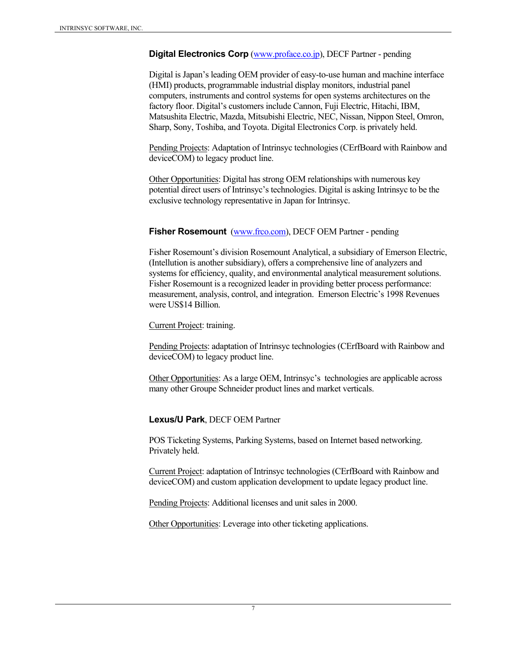**Digital Electronics Corp** (www.proface.co.jp), DECF Partner - pending

Digital is Japan's leading OEM provider of easy-to-use human and machine interface (HMI) products, programmable industrial display monitors, industrial panel computers, instruments and control systems for open systems architectures on the factory floor. Digital's customers include Cannon, Fuji Electric, Hitachi, IBM, Matsushita Electric, Mazda, Mitsubishi Electric, NEC, Nissan, Nippon Steel, Omron, Sharp, Sony, Toshiba, and Toyota. Digital Electronics Corp. is privately held.

Pending Projects: Adaptation of Intrinsyc technologies (CErfBoard with Rainbow and deviceCOM) to legacy product line.

Other Opportunities: Digital has strong OEM relationships with numerous key potential direct users of Intrinsyc's technologies. Digital is asking Intrinsyc to be the exclusive technology representative in Japan for Intrinsyc.

#### **Fisher Rosemount** (www.frco.com), DECF OEM Partner - pending

Fisher Rosemount's division Rosemount Analytical, a subsidiary of Emerson Electric, (Intellution is another subsidiary), offers a comprehensive line of analyzers and systems for efficiency, quality, and environmental analytical measurement solutions. Fisher Rosemount is a recognized leader in providing better process performance: measurement, analysis, control, and integration. Emerson Electric's 1998 Revenues were US\$14 Billion.

Current Project: training.

Pending Projects: adaptation of Intrinsyc technologies (CErfBoard with Rainbow and deviceCOM) to legacy product line.

Other Opportunities: As a large OEM, Intrinsyc's technologies are applicable across many other Groupe Schneider product lines and market verticals.

#### **Lexus/U Park**, DECF OEM Partner

POS Ticketing Systems, Parking Systems, based on Internet based networking. Privately held.

Current Project: adaptation of Intrinsyc technologies (CErfBoard with Rainbow and deviceCOM) and custom application development to update legacy product line.

Pending Projects: Additional licenses and unit sales in 2000.

Other Opportunities: Leverage into other ticketing applications.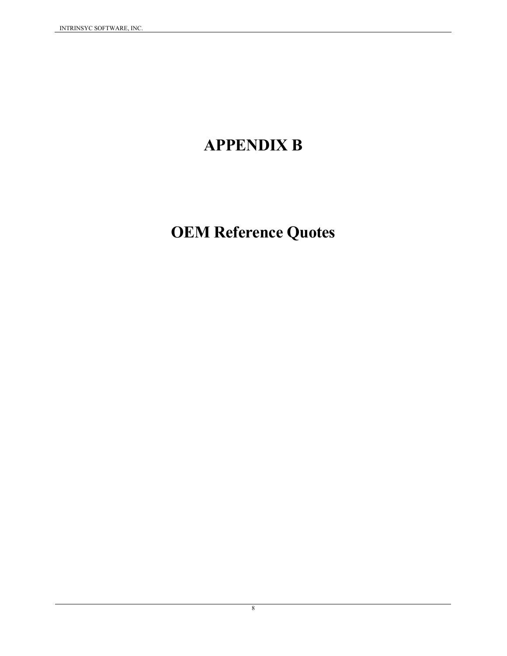# **APPENDIX B**

# **OEM Reference Quotes**